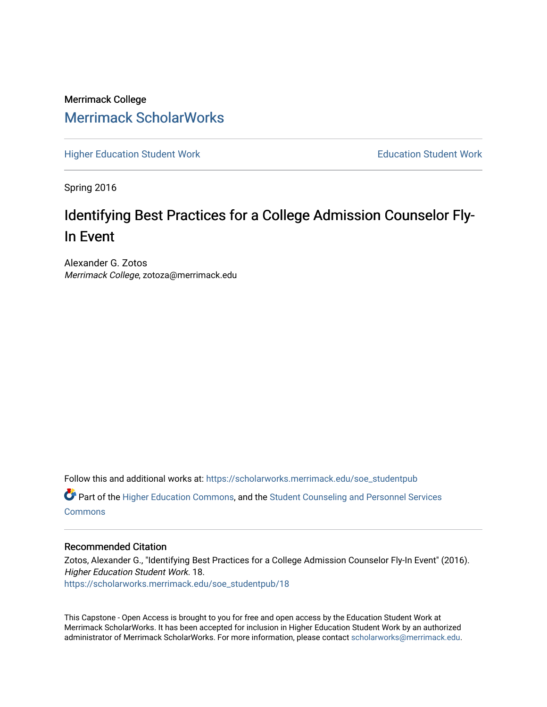Merrimack College [Merrimack ScholarWorks](https://scholarworks.merrimack.edu/) 

[Higher Education Student Work](https://scholarworks.merrimack.edu/soe_studentpub) **Education Student Work** Education Student Work

Spring 2016

# Identifying Best Practices for a College Admission Counselor Fly-In Event

Alexander G. Zotos Merrimack College, zotoza@merrimack.edu

Follow this and additional works at: [https://scholarworks.merrimack.edu/soe\\_studentpub](https://scholarworks.merrimack.edu/soe_studentpub?utm_source=scholarworks.merrimack.edu%2Fsoe_studentpub%2F18&utm_medium=PDF&utm_campaign=PDFCoverPages) 

**C** Part of the [Higher Education Commons,](http://network.bepress.com/hgg/discipline/1245?utm_source=scholarworks.merrimack.edu%2Fsoe_studentpub%2F18&utm_medium=PDF&utm_campaign=PDFCoverPages) and the Student Counseling and Personnel Services **[Commons](http://network.bepress.com/hgg/discipline/802?utm_source=scholarworks.merrimack.edu%2Fsoe_studentpub%2F18&utm_medium=PDF&utm_campaign=PDFCoverPages)** 

## Recommended Citation

Zotos, Alexander G., "Identifying Best Practices for a College Admission Counselor Fly-In Event" (2016). Higher Education Student Work. 18. [https://scholarworks.merrimack.edu/soe\\_studentpub/18](https://scholarworks.merrimack.edu/soe_studentpub/18?utm_source=scholarworks.merrimack.edu%2Fsoe_studentpub%2F18&utm_medium=PDF&utm_campaign=PDFCoverPages) 

This Capstone - Open Access is brought to you for free and open access by the Education Student Work at Merrimack ScholarWorks. It has been accepted for inclusion in Higher Education Student Work by an authorized administrator of Merrimack ScholarWorks. For more information, please contact [scholarworks@merrimack.edu](mailto:scholarworks@merrimack.edu).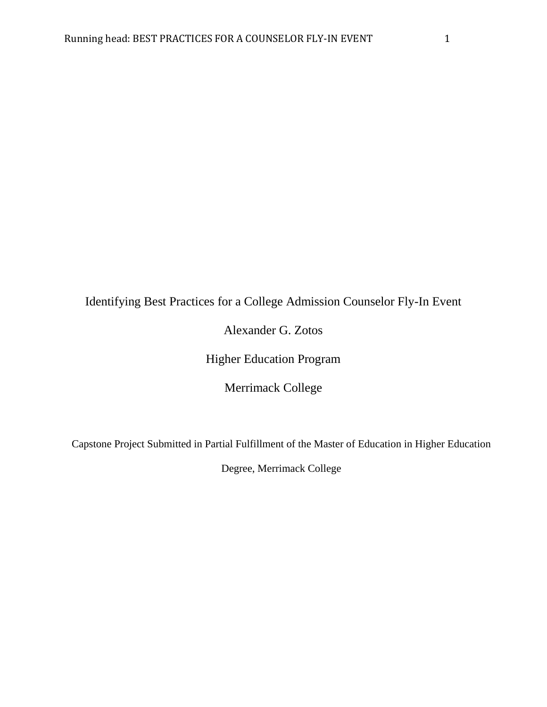# Identifying Best Practices for a College Admission Counselor Fly-In Event

Alexander G. Zotos

Higher Education Program

Merrimack College

Capstone Project Submitted in Partial Fulfillment of the Master of Education in Higher Education

Degree, Merrimack College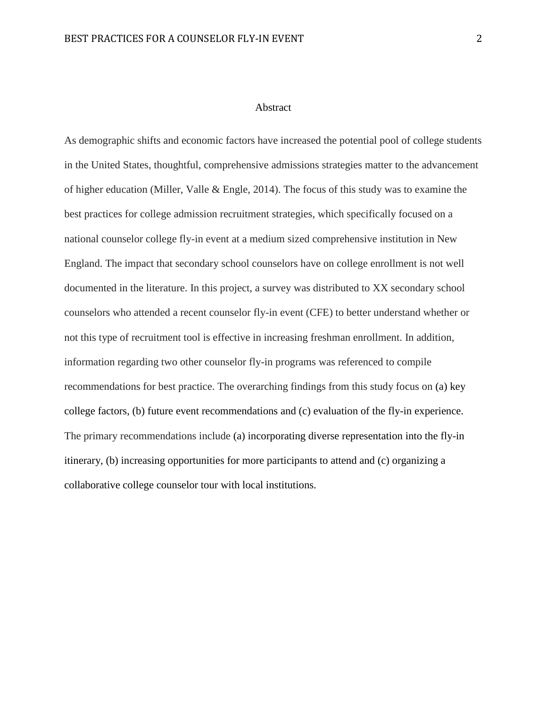# Abstract

As demographic shifts and economic factors have increased the potential pool of college students in the United States, thoughtful, comprehensive admissions strategies matter to the advancement of higher education (Miller, Valle & Engle, 2014). The focus of this study was to examine the best practices for college admission recruitment strategies, which specifically focused on a national counselor college fly-in event at a medium sized comprehensive institution in New England. The impact that secondary school counselors have on college enrollment is not well documented in the literature. In this project, a survey was distributed to XX secondary school counselors who attended a recent counselor fly-in event (CFE) to better understand whether or not this type of recruitment tool is effective in increasing freshman enrollment. In addition, information regarding two other counselor fly-in programs was referenced to compile recommendations for best practice. The overarching findings from this study focus on (a) key college factors, (b) future event recommendations and (c) evaluation of the fly-in experience. The primary recommendations include (a) incorporating diverse representation into the fly-in itinerary, (b) increasing opportunities for more participants to attend and (c) organizing a collaborative college counselor tour with local institutions.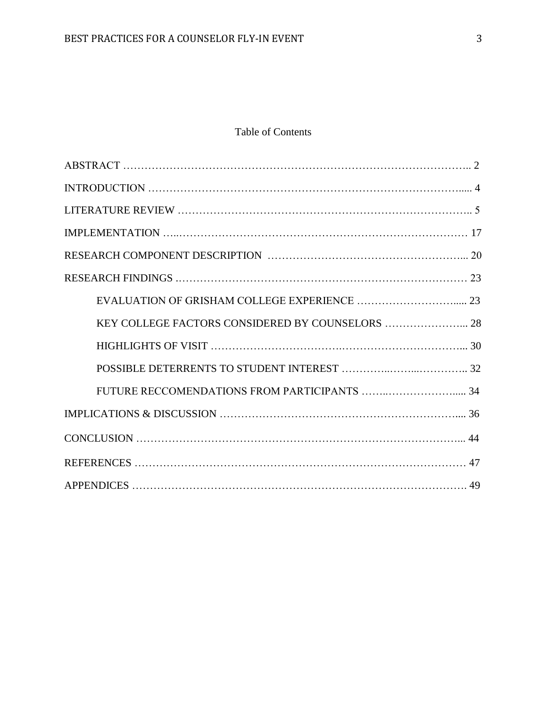# Table of Contents

| KEY COLLEGE FACTORS CONSIDERED BY COUNSELORS  28 |  |
|--------------------------------------------------|--|
|                                                  |  |
|                                                  |  |
|                                                  |  |
|                                                  |  |
|                                                  |  |
|                                                  |  |
|                                                  |  |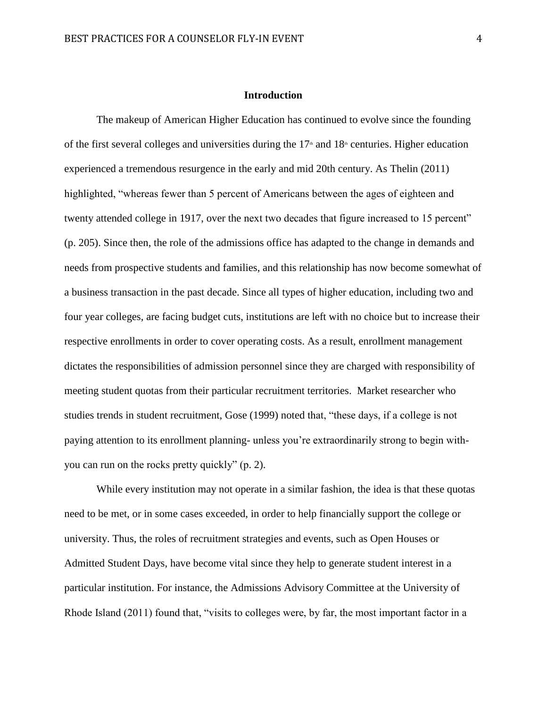# **Introduction**

The makeup of American Higher Education has continued to evolve since the founding of the first several colleges and universities during the  $17<sup>th</sup>$  and  $18<sup>th</sup>$  centuries. Higher education experienced a tremendous resurgence in the early and mid 20th century. As Thelin (2011) highlighted, "whereas fewer than 5 percent of Americans between the ages of eighteen and twenty attended college in 1917, over the next two decades that figure increased to 15 percent" (p. 205). Since then, the role of the admissions office has adapted to the change in demands and needs from prospective students and families, and this relationship has now become somewhat of a business transaction in the past decade. Since all types of higher education, including two and four year colleges, are facing budget cuts, institutions are left with no choice but to increase their respective enrollments in order to cover operating costs. As a result, enrollment management dictates the responsibilities of admission personnel since they are charged with responsibility of meeting student quotas from their particular recruitment territories. Market researcher who studies trends in student recruitment, Gose (1999) noted that, "these days, if a college is not paying attention to its enrollment planning- unless you're extraordinarily strong to begin withyou can run on the rocks pretty quickly" (p. 2).

While every institution may not operate in a similar fashion, the idea is that these quotas need to be met, or in some cases exceeded, in order to help financially support the college or university. Thus, the roles of recruitment strategies and events, such as Open Houses or Admitted Student Days, have become vital since they help to generate student interest in a particular institution. For instance, the Admissions Advisory Committee at the University of Rhode Island (2011) found that, "visits to colleges were, by far, the most important factor in a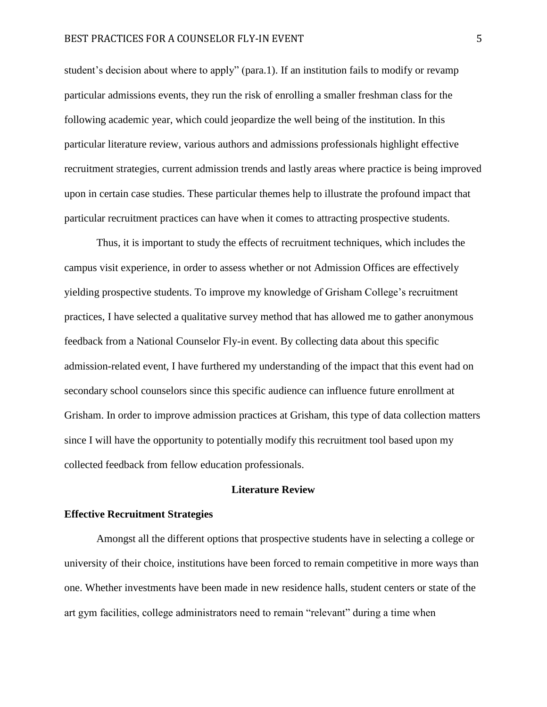student's decision about where to apply" (para.1). If an institution fails to modify or revamp particular admissions events, they run the risk of enrolling a smaller freshman class for the following academic year, which could jeopardize the well being of the institution. In this particular literature review, various authors and admissions professionals highlight effective recruitment strategies, current admission trends and lastly areas where practice is being improved upon in certain case studies. These particular themes help to illustrate the profound impact that particular recruitment practices can have when it comes to attracting prospective students.

Thus, it is important to study the effects of recruitment techniques, which includes the campus visit experience, in order to assess whether or not Admission Offices are effectively yielding prospective students. To improve my knowledge of Grisham College's recruitment practices, I have selected a qualitative survey method that has allowed me to gather anonymous feedback from a National Counselor Fly-in event. By collecting data about this specific admission-related event, I have furthered my understanding of the impact that this event had on secondary school counselors since this specific audience can influence future enrollment at Grisham. In order to improve admission practices at Grisham, this type of data collection matters since I will have the opportunity to potentially modify this recruitment tool based upon my collected feedback from fellow education professionals.

## **Literature Review**

#### **Effective Recruitment Strategies**

Amongst all the different options that prospective students have in selecting a college or university of their choice, institutions have been forced to remain competitive in more ways than one. Whether investments have been made in new residence halls, student centers or state of the art gym facilities, college administrators need to remain "relevant" during a time when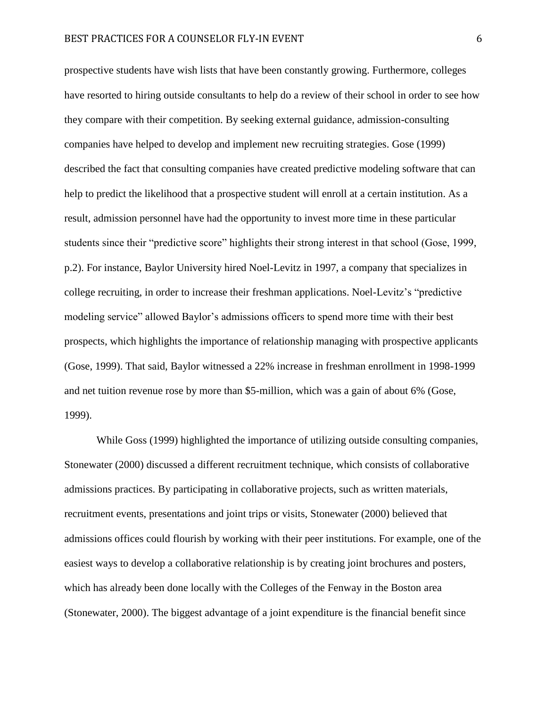prospective students have wish lists that have been constantly growing. Furthermore, colleges have resorted to hiring outside consultants to help do a review of their school in order to see how they compare with their competition. By seeking external guidance, admission-consulting companies have helped to develop and implement new recruiting strategies. Gose (1999) described the fact that consulting companies have created predictive modeling software that can help to predict the likelihood that a prospective student will enroll at a certain institution. As a result, admission personnel have had the opportunity to invest more time in these particular students since their "predictive score" highlights their strong interest in that school (Gose, 1999, p.2). For instance, Baylor University hired Noel-Levitz in 1997, a company that specializes in college recruiting, in order to increase their freshman applications. Noel-Levitz's "predictive modeling service" allowed Baylor's admissions officers to spend more time with their best prospects, which highlights the importance of relationship managing with prospective applicants (Gose, 1999). That said, Baylor witnessed a 22% increase in freshman enrollment in 1998-1999 and net tuition revenue rose by more than \$5-million, which was a gain of about 6% (Gose, 1999).

While Goss (1999) highlighted the importance of utilizing outside consulting companies, Stonewater (2000) discussed a different recruitment technique, which consists of collaborative admissions practices. By participating in collaborative projects, such as written materials, recruitment events, presentations and joint trips or visits, Stonewater (2000) believed that admissions offices could flourish by working with their peer institutions. For example, one of the easiest ways to develop a collaborative relationship is by creating joint brochures and posters, which has already been done locally with the Colleges of the Fenway in the Boston area (Stonewater, 2000). The biggest advantage of a joint expenditure is the financial benefit since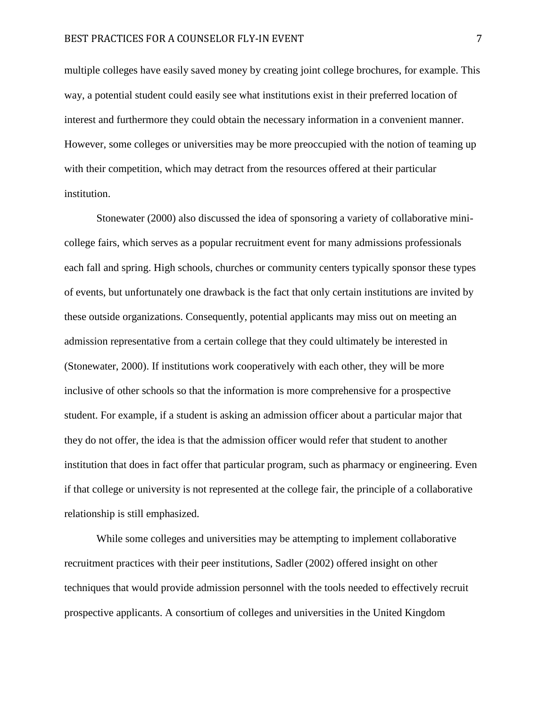multiple colleges have easily saved money by creating joint college brochures, for example. This way, a potential student could easily see what institutions exist in their preferred location of interest and furthermore they could obtain the necessary information in a convenient manner. However, some colleges or universities may be more preoccupied with the notion of teaming up with their competition, which may detract from the resources offered at their particular institution.

Stonewater (2000) also discussed the idea of sponsoring a variety of collaborative minicollege fairs, which serves as a popular recruitment event for many admissions professionals each fall and spring. High schools, churches or community centers typically sponsor these types of events, but unfortunately one drawback is the fact that only certain institutions are invited by these outside organizations. Consequently, potential applicants may miss out on meeting an admission representative from a certain college that they could ultimately be interested in (Stonewater, 2000). If institutions work cooperatively with each other, they will be more inclusive of other schools so that the information is more comprehensive for a prospective student. For example, if a student is asking an admission officer about a particular major that they do not offer, the idea is that the admission officer would refer that student to another institution that does in fact offer that particular program, such as pharmacy or engineering. Even if that college or university is not represented at the college fair, the principle of a collaborative relationship is still emphasized.

While some colleges and universities may be attempting to implement collaborative recruitment practices with their peer institutions, Sadler (2002) offered insight on other techniques that would provide admission personnel with the tools needed to effectively recruit prospective applicants. A consortium of colleges and universities in the United Kingdom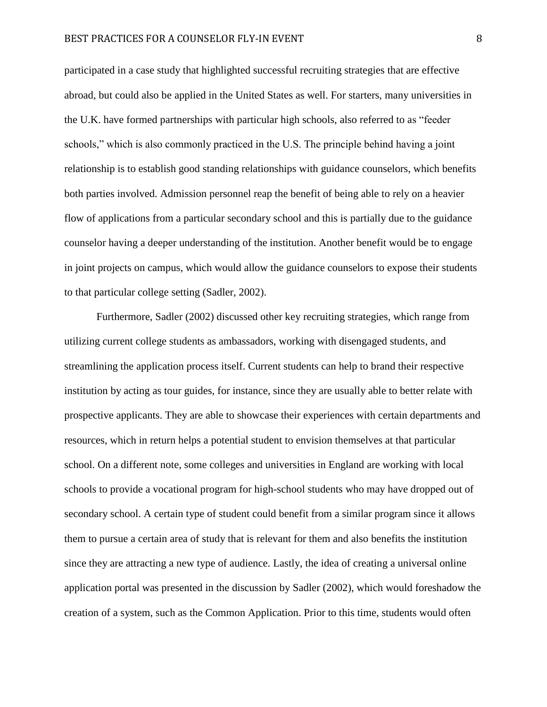participated in a case study that highlighted successful recruiting strategies that are effective abroad, but could also be applied in the United States as well. For starters, many universities in the U.K. have formed partnerships with particular high schools, also referred to as "feeder schools," which is also commonly practiced in the U.S. The principle behind having a joint relationship is to establish good standing relationships with guidance counselors, which benefits both parties involved. Admission personnel reap the benefit of being able to rely on a heavier flow of applications from a particular secondary school and this is partially due to the guidance counselor having a deeper understanding of the institution. Another benefit would be to engage in joint projects on campus, which would allow the guidance counselors to expose their students to that particular college setting (Sadler, 2002).

Furthermore, Sadler (2002) discussed other key recruiting strategies, which range from utilizing current college students as ambassadors, working with disengaged students, and streamlining the application process itself. Current students can help to brand their respective institution by acting as tour guides, for instance, since they are usually able to better relate with prospective applicants. They are able to showcase their experiences with certain departments and resources, which in return helps a potential student to envision themselves at that particular school. On a different note, some colleges and universities in England are working with local schools to provide a vocational program for high-school students who may have dropped out of secondary school. A certain type of student could benefit from a similar program since it allows them to pursue a certain area of study that is relevant for them and also benefits the institution since they are attracting a new type of audience. Lastly, the idea of creating a universal online application portal was presented in the discussion by Sadler (2002), which would foreshadow the creation of a system, such as the Common Application. Prior to this time, students would often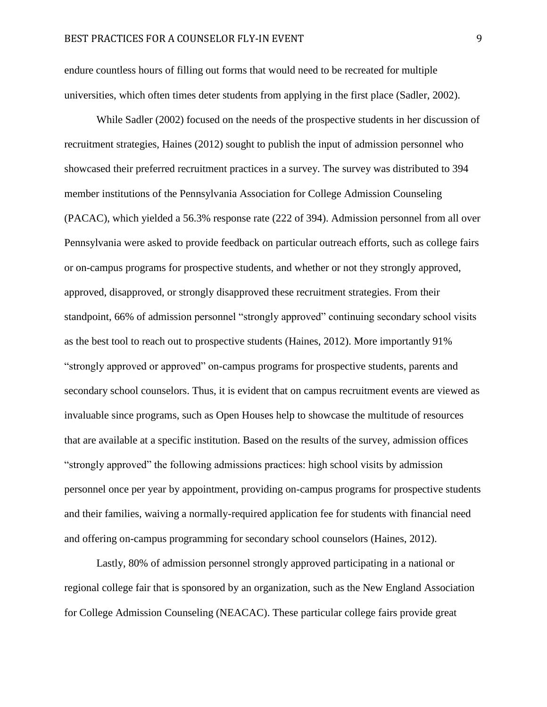endure countless hours of filling out forms that would need to be recreated for multiple universities, which often times deter students from applying in the first place (Sadler, 2002).

While Sadler (2002) focused on the needs of the prospective students in her discussion of recruitment strategies, Haines (2012) sought to publish the input of admission personnel who showcased their preferred recruitment practices in a survey. The survey was distributed to 394 member institutions of the Pennsylvania Association for College Admission Counseling (PACAC), which yielded a 56.3% response rate (222 of 394). Admission personnel from all over Pennsylvania were asked to provide feedback on particular outreach efforts, such as college fairs or on-campus programs for prospective students, and whether or not they strongly approved, approved, disapproved, or strongly disapproved these recruitment strategies. From their standpoint, 66% of admission personnel "strongly approved" continuing secondary school visits as the best tool to reach out to prospective students (Haines, 2012). More importantly 91% "strongly approved or approved" on-campus programs for prospective students, parents and secondary school counselors. Thus, it is evident that on campus recruitment events are viewed as invaluable since programs, such as Open Houses help to showcase the multitude of resources that are available at a specific institution. Based on the results of the survey, admission offices "strongly approved" the following admissions practices: high school visits by admission personnel once per year by appointment, providing on-campus programs for prospective students and their families, waiving a normally-required application fee for students with financial need and offering on-campus programming for secondary school counselors (Haines, 2012).

Lastly, 80% of admission personnel strongly approved participating in a national or regional college fair that is sponsored by an organization, such as the New England Association for College Admission Counseling (NEACAC). These particular college fairs provide great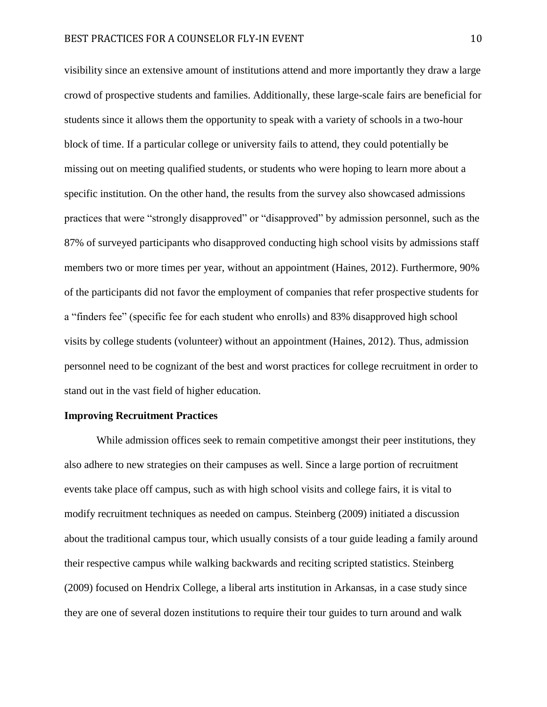visibility since an extensive amount of institutions attend and more importantly they draw a large crowd of prospective students and families. Additionally, these large-scale fairs are beneficial for students since it allows them the opportunity to speak with a variety of schools in a two-hour block of time. If a particular college or university fails to attend, they could potentially be missing out on meeting qualified students, or students who were hoping to learn more about a specific institution. On the other hand, the results from the survey also showcased admissions practices that were "strongly disapproved" or "disapproved" by admission personnel, such as the 87% of surveyed participants who disapproved conducting high school visits by admissions staff members two or more times per year, without an appointment (Haines, 2012). Furthermore, 90% of the participants did not favor the employment of companies that refer prospective students for a "finders fee" (specific fee for each student who enrolls) and 83% disapproved high school visits by college students (volunteer) without an appointment (Haines, 2012). Thus, admission personnel need to be cognizant of the best and worst practices for college recruitment in order to stand out in the vast field of higher education.

#### **Improving Recruitment Practices**

While admission offices seek to remain competitive amongst their peer institutions, they also adhere to new strategies on their campuses as well. Since a large portion of recruitment events take place off campus, such as with high school visits and college fairs, it is vital to modify recruitment techniques as needed on campus. Steinberg (2009) initiated a discussion about the traditional campus tour, which usually consists of a tour guide leading a family around their respective campus while walking backwards and reciting scripted statistics. Steinberg (2009) focused on Hendrix College, a liberal arts institution in Arkansas, in a case study since they are one of several dozen institutions to require their tour guides to turn around and walk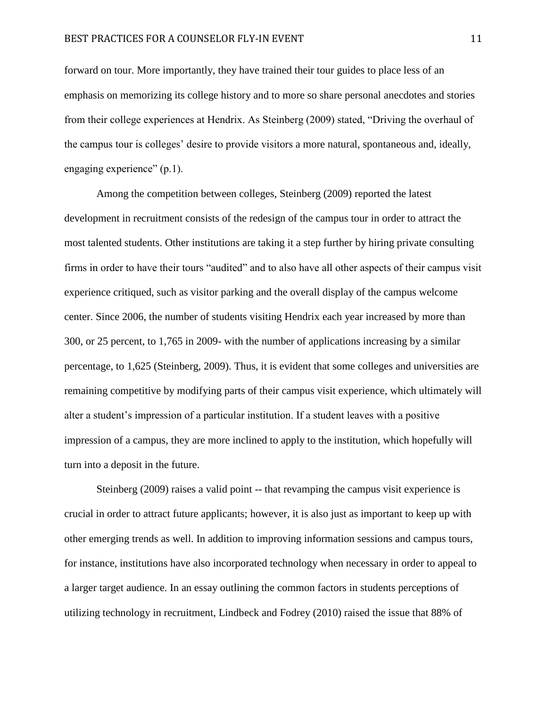forward on tour. More importantly, they have trained their tour guides to place less of an emphasis on memorizing its college history and to more so share personal anecdotes and stories from their college experiences at Hendrix. As Steinberg (2009) stated, "Driving the overhaul of the campus tour is colleges' desire to provide visitors a more natural, spontaneous and, ideally, engaging experience" (p.1).

Among the competition between colleges, Steinberg (2009) reported the latest development in recruitment consists of the redesign of the campus tour in order to attract the most talented students. Other institutions are taking it a step further by hiring private consulting firms in order to have their tours "audited" and to also have all other aspects of their campus visit experience critiqued, such as visitor parking and the overall display of the campus welcome center. Since 2006, the number of students visiting Hendrix each year increased by more than 300, or 25 percent, to 1,765 in 2009- with the number of applications increasing by a similar percentage, to 1,625 (Steinberg, 2009). Thus, it is evident that some colleges and universities are remaining competitive by modifying parts of their campus visit experience, which ultimately will alter a student's impression of a particular institution. If a student leaves with a positive impression of a campus, they are more inclined to apply to the institution, which hopefully will turn into a deposit in the future.

Steinberg (2009) raises a valid point -- that revamping the campus visit experience is crucial in order to attract future applicants; however, it is also just as important to keep up with other emerging trends as well. In addition to improving information sessions and campus tours, for instance, institutions have also incorporated technology when necessary in order to appeal to a larger target audience. In an essay outlining the common factors in students perceptions of utilizing technology in recruitment, Lindbeck and Fodrey (2010) raised the issue that 88% of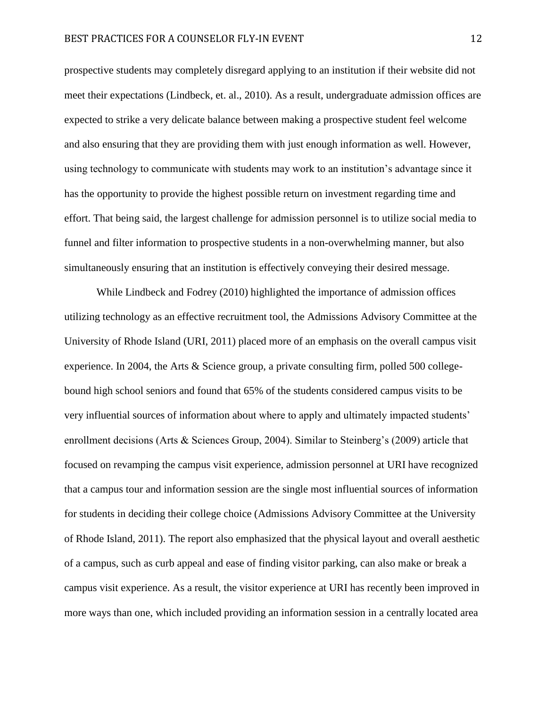prospective students may completely disregard applying to an institution if their website did not meet their expectations (Lindbeck, et. al., 2010). As a result, undergraduate admission offices are expected to strike a very delicate balance between making a prospective student feel welcome and also ensuring that they are providing them with just enough information as well. However, using technology to communicate with students may work to an institution's advantage since it has the opportunity to provide the highest possible return on investment regarding time and effort. That being said, the largest challenge for admission personnel is to utilize social media to funnel and filter information to prospective students in a non-overwhelming manner, but also simultaneously ensuring that an institution is effectively conveying their desired message.

While Lindbeck and Fodrey (2010) highlighted the importance of admission offices utilizing technology as an effective recruitment tool, the Admissions Advisory Committee at the University of Rhode Island (URI, 2011) placed more of an emphasis on the overall campus visit experience. In 2004, the Arts & Science group, a private consulting firm, polled 500 collegebound high school seniors and found that 65% of the students considered campus visits to be very influential sources of information about where to apply and ultimately impacted students' enrollment decisions (Arts & Sciences Group, 2004). Similar to Steinberg's (2009) article that focused on revamping the campus visit experience, admission personnel at URI have recognized that a campus tour and information session are the single most influential sources of information for students in deciding their college choice (Admissions Advisory Committee at the University of Rhode Island, 2011). The report also emphasized that the physical layout and overall aesthetic of a campus, such as curb appeal and ease of finding visitor parking, can also make or break a campus visit experience. As a result, the visitor experience at URI has recently been improved in more ways than one, which included providing an information session in a centrally located area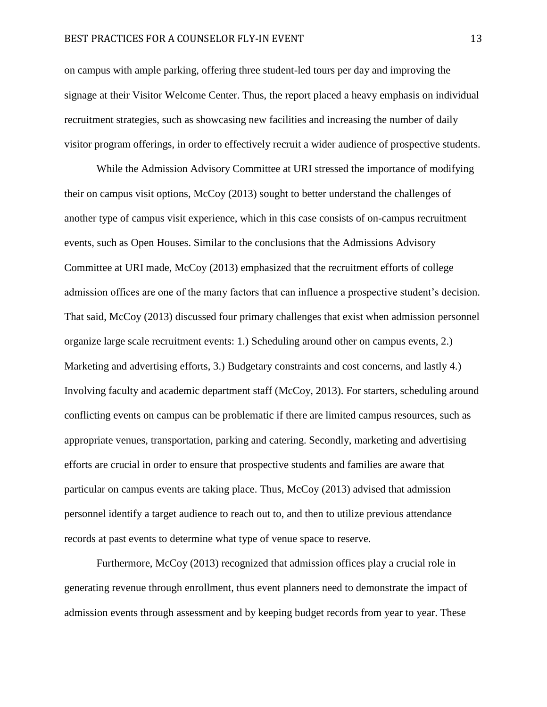on campus with ample parking, offering three student-led tours per day and improving the signage at their Visitor Welcome Center. Thus, the report placed a heavy emphasis on individual recruitment strategies, such as showcasing new facilities and increasing the number of daily visitor program offerings, in order to effectively recruit a wider audience of prospective students.

While the Admission Advisory Committee at URI stressed the importance of modifying their on campus visit options, McCoy (2013) sought to better understand the challenges of another type of campus visit experience, which in this case consists of on-campus recruitment events, such as Open Houses. Similar to the conclusions that the Admissions Advisory Committee at URI made, McCoy (2013) emphasized that the recruitment efforts of college admission offices are one of the many factors that can influence a prospective student's decision. That said, McCoy (2013) discussed four primary challenges that exist when admission personnel organize large scale recruitment events: 1.) Scheduling around other on campus events, 2.) Marketing and advertising efforts, 3.) Budgetary constraints and cost concerns, and lastly 4.) Involving faculty and academic department staff (McCoy, 2013). For starters, scheduling around conflicting events on campus can be problematic if there are limited campus resources, such as appropriate venues, transportation, parking and catering. Secondly, marketing and advertising efforts are crucial in order to ensure that prospective students and families are aware that particular on campus events are taking place. Thus, McCoy (2013) advised that admission personnel identify a target audience to reach out to, and then to utilize previous attendance records at past events to determine what type of venue space to reserve.

Furthermore, McCoy (2013) recognized that admission offices play a crucial role in generating revenue through enrollment, thus event planners need to demonstrate the impact of admission events through assessment and by keeping budget records from year to year. These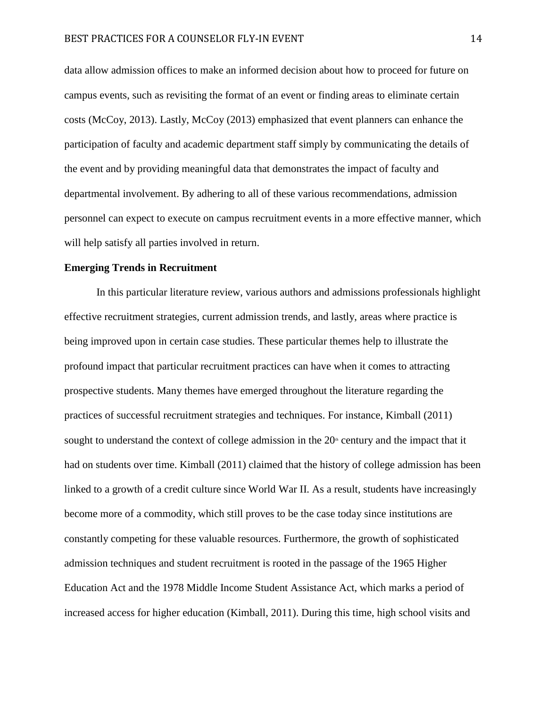data allow admission offices to make an informed decision about how to proceed for future on campus events, such as revisiting the format of an event or finding areas to eliminate certain costs (McCoy, 2013). Lastly, McCoy (2013) emphasized that event planners can enhance the participation of faculty and academic department staff simply by communicating the details of the event and by providing meaningful data that demonstrates the impact of faculty and departmental involvement. By adhering to all of these various recommendations, admission personnel can expect to execute on campus recruitment events in a more effective manner, which will help satisfy all parties involved in return.

## **Emerging Trends in Recruitment**

In this particular literature review, various authors and admissions professionals highlight effective recruitment strategies, current admission trends, and lastly, areas where practice is being improved upon in certain case studies. These particular themes help to illustrate the profound impact that particular recruitment practices can have when it comes to attracting prospective students. Many themes have emerged throughout the literature regarding the practices of successful recruitment strategies and techniques. For instance, Kimball (2011) sought to understand the context of college admission in the  $20<sup>th</sup>$  century and the impact that it had on students over time. Kimball (2011) claimed that the history of college admission has been linked to a growth of a credit culture since World War II. As a result, students have increasingly become more of a commodity, which still proves to be the case today since institutions are constantly competing for these valuable resources. Furthermore, the growth of sophisticated admission techniques and student recruitment is rooted in the passage of the 1965 Higher Education Act and the 1978 Middle Income Student Assistance Act, which marks a period of increased access for higher education (Kimball, 2011). During this time, high school visits and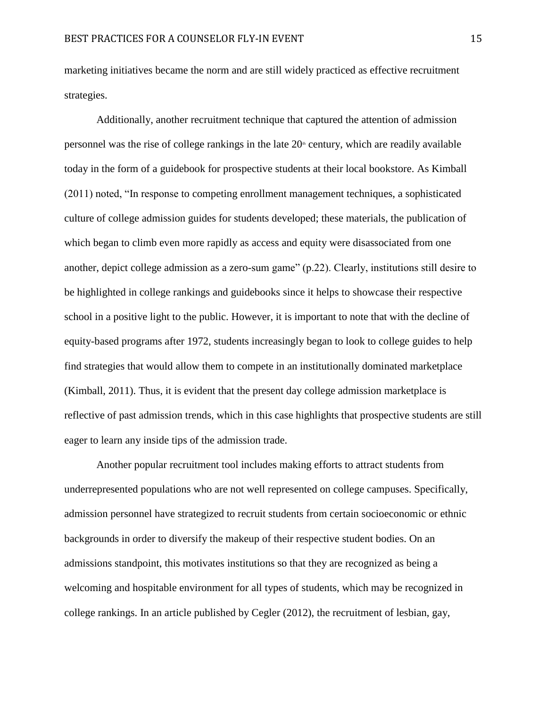marketing initiatives became the norm and are still widely practiced as effective recruitment strategies.

Additionally, another recruitment technique that captured the attention of admission personnel was the rise of college rankings in the late  $20<sup>th</sup>$  century, which are readily available today in the form of a guidebook for prospective students at their local bookstore. As Kimball (2011) noted, "In response to competing enrollment management techniques, a sophisticated culture of college admission guides for students developed; these materials, the publication of which began to climb even more rapidly as access and equity were disassociated from one another, depict college admission as a zero-sum game" (p.22). Clearly, institutions still desire to be highlighted in college rankings and guidebooks since it helps to showcase their respective school in a positive light to the public. However, it is important to note that with the decline of equity-based programs after 1972, students increasingly began to look to college guides to help find strategies that would allow them to compete in an institutionally dominated marketplace (Kimball, 2011). Thus, it is evident that the present day college admission marketplace is reflective of past admission trends, which in this case highlights that prospective students are still eager to learn any inside tips of the admission trade.

Another popular recruitment tool includes making efforts to attract students from underrepresented populations who are not well represented on college campuses. Specifically, admission personnel have strategized to recruit students from certain socioeconomic or ethnic backgrounds in order to diversify the makeup of their respective student bodies. On an admissions standpoint, this motivates institutions so that they are recognized as being a welcoming and hospitable environment for all types of students, which may be recognized in college rankings. In an article published by Cegler (2012), the recruitment of lesbian, gay,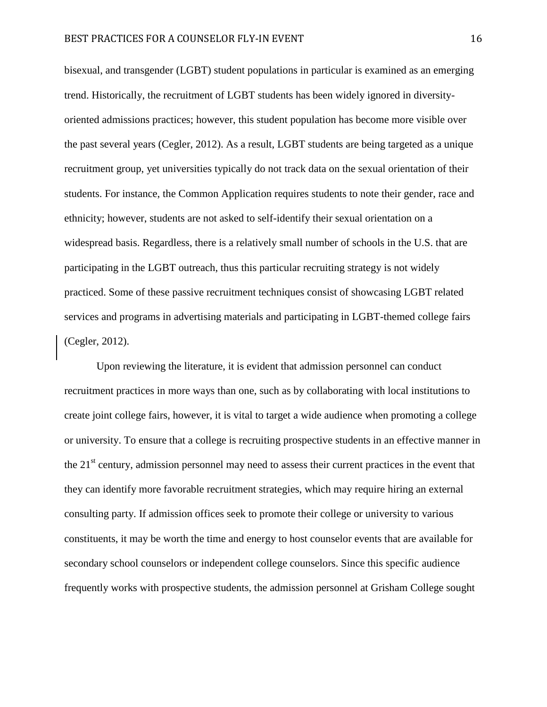bisexual, and transgender (LGBT) student populations in particular is examined as an emerging trend. Historically, the recruitment of LGBT students has been widely ignored in diversityoriented admissions practices; however, this student population has become more visible over the past several years (Cegler, 2012). As a result, LGBT students are being targeted as a unique recruitment group, yet universities typically do not track data on the sexual orientation of their students. For instance, the Common Application requires students to note their gender, race and ethnicity; however, students are not asked to self-identify their sexual orientation on a widespread basis. Regardless, there is a relatively small number of schools in the U.S. that are participating in the LGBT outreach, thus this particular recruiting strategy is not widely practiced. Some of these passive recruitment techniques consist of showcasing LGBT related services and programs in advertising materials and participating in LGBT-themed college fairs (Cegler, 2012).

Upon reviewing the literature, it is evident that admission personnel can conduct recruitment practices in more ways than one, such as by collaborating with local institutions to create joint college fairs, however, it is vital to target a wide audience when promoting a college or university. To ensure that a college is recruiting prospective students in an effective manner in the  $21<sup>st</sup>$  century, admission personnel may need to assess their current practices in the event that they can identify more favorable recruitment strategies, which may require hiring an external consulting party. If admission offices seek to promote their college or university to various constituents, it may be worth the time and energy to host counselor events that are available for secondary school counselors or independent college counselors. Since this specific audience frequently works with prospective students, the admission personnel at Grisham College sought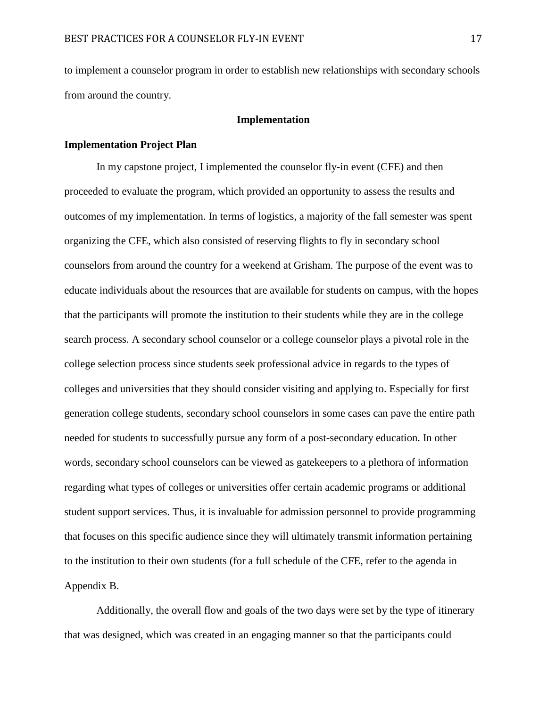to implement a counselor program in order to establish new relationships with secondary schools from around the country.

## **Implementation**

## **Implementation Project Plan**

In my capstone project, I implemented the counselor fly-in event (CFE) and then proceeded to evaluate the program, which provided an opportunity to assess the results and outcomes of my implementation. In terms of logistics, a majority of the fall semester was spent organizing the CFE, which also consisted of reserving flights to fly in secondary school counselors from around the country for a weekend at Grisham. The purpose of the event was to educate individuals about the resources that are available for students on campus, with the hopes that the participants will promote the institution to their students while they are in the college search process. A secondary school counselor or a college counselor plays a pivotal role in the college selection process since students seek professional advice in regards to the types of colleges and universities that they should consider visiting and applying to. Especially for first generation college students, secondary school counselors in some cases can pave the entire path needed for students to successfully pursue any form of a post-secondary education. In other words, secondary school counselors can be viewed as gatekeepers to a plethora of information regarding what types of colleges or universities offer certain academic programs or additional student support services. Thus, it is invaluable for admission personnel to provide programming that focuses on this specific audience since they will ultimately transmit information pertaining to the institution to their own students (for a full schedule of the CFE, refer to the agenda in Appendix B.

Additionally, the overall flow and goals of the two days were set by the type of itinerary that was designed, which was created in an engaging manner so that the participants could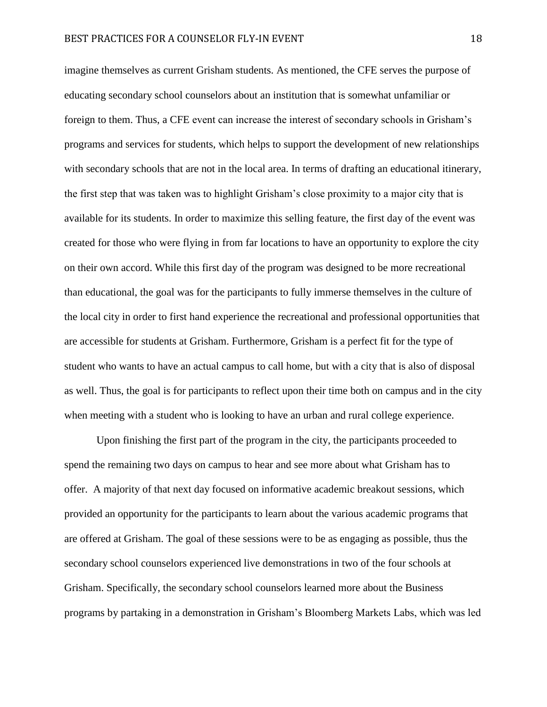imagine themselves as current Grisham students. As mentioned, the CFE serves the purpose of educating secondary school counselors about an institution that is somewhat unfamiliar or foreign to them. Thus, a CFE event can increase the interest of secondary schools in Grisham's programs and services for students, which helps to support the development of new relationships with secondary schools that are not in the local area. In terms of drafting an educational itinerary, the first step that was taken was to highlight Grisham's close proximity to a major city that is available for its students. In order to maximize this selling feature, the first day of the event was created for those who were flying in from far locations to have an opportunity to explore the city on their own accord. While this first day of the program was designed to be more recreational than educational, the goal was for the participants to fully immerse themselves in the culture of the local city in order to first hand experience the recreational and professional opportunities that are accessible for students at Grisham. Furthermore, Grisham is a perfect fit for the type of student who wants to have an actual campus to call home, but with a city that is also of disposal as well. Thus, the goal is for participants to reflect upon their time both on campus and in the city when meeting with a student who is looking to have an urban and rural college experience.

Upon finishing the first part of the program in the city, the participants proceeded to spend the remaining two days on campus to hear and see more about what Grisham has to offer. A majority of that next day focused on informative academic breakout sessions, which provided an opportunity for the participants to learn about the various academic programs that are offered at Grisham. The goal of these sessions were to be as engaging as possible, thus the secondary school counselors experienced live demonstrations in two of the four schools at Grisham. Specifically, the secondary school counselors learned more about the Business programs by partaking in a demonstration in Grisham's Bloomberg Markets Labs, which was led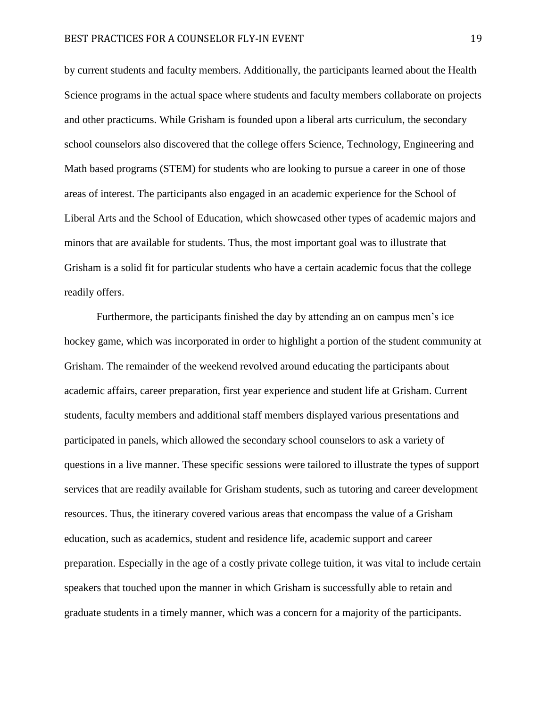by current students and faculty members. Additionally, the participants learned about the Health Science programs in the actual space where students and faculty members collaborate on projects and other practicums. While Grisham is founded upon a liberal arts curriculum, the secondary school counselors also discovered that the college offers Science, Technology, Engineering and Math based programs (STEM) for students who are looking to pursue a career in one of those areas of interest. The participants also engaged in an academic experience for the School of Liberal Arts and the School of Education, which showcased other types of academic majors and minors that are available for students. Thus, the most important goal was to illustrate that Grisham is a solid fit for particular students who have a certain academic focus that the college readily offers.

Furthermore, the participants finished the day by attending an on campus men's ice hockey game, which was incorporated in order to highlight a portion of the student community at Grisham. The remainder of the weekend revolved around educating the participants about academic affairs, career preparation, first year experience and student life at Grisham. Current students, faculty members and additional staff members displayed various presentations and participated in panels, which allowed the secondary school counselors to ask a variety of questions in a live manner. These specific sessions were tailored to illustrate the types of support services that are readily available for Grisham students, such as tutoring and career development resources. Thus, the itinerary covered various areas that encompass the value of a Grisham education, such as academics, student and residence life, academic support and career preparation. Especially in the age of a costly private college tuition, it was vital to include certain speakers that touched upon the manner in which Grisham is successfully able to retain and graduate students in a timely manner, which was a concern for a majority of the participants.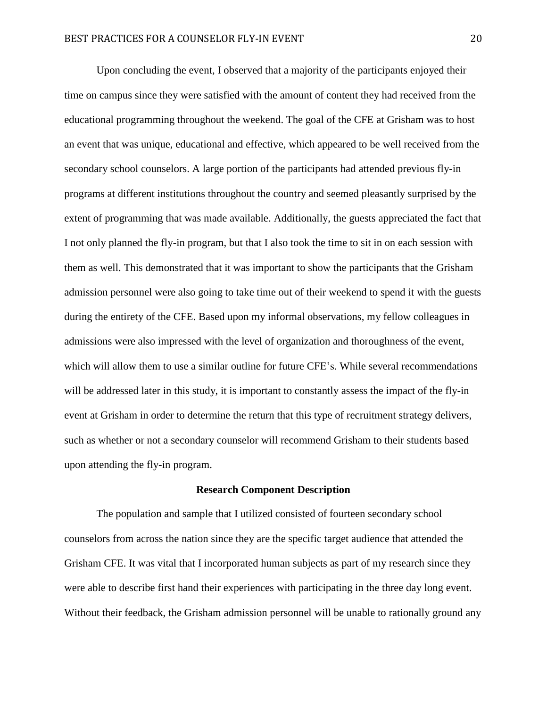Upon concluding the event, I observed that a majority of the participants enjoyed their time on campus since they were satisfied with the amount of content they had received from the educational programming throughout the weekend. The goal of the CFE at Grisham was to host an event that was unique, educational and effective, which appeared to be well received from the secondary school counselors. A large portion of the participants had attended previous fly-in programs at different institutions throughout the country and seemed pleasantly surprised by the extent of programming that was made available. Additionally, the guests appreciated the fact that I not only planned the fly-in program, but that I also took the time to sit in on each session with them as well. This demonstrated that it was important to show the participants that the Grisham admission personnel were also going to take time out of their weekend to spend it with the guests during the entirety of the CFE. Based upon my informal observations, my fellow colleagues in admissions were also impressed with the level of organization and thoroughness of the event, which will allow them to use a similar outline for future CFE's. While several recommendations will be addressed later in this study, it is important to constantly assess the impact of the fly-in event at Grisham in order to determine the return that this type of recruitment strategy delivers, such as whether or not a secondary counselor will recommend Grisham to their students based upon attending the fly-in program.

#### **Research Component Description**

The population and sample that I utilized consisted of fourteen secondary school counselors from across the nation since they are the specific target audience that attended the Grisham CFE. It was vital that I incorporated human subjects as part of my research since they were able to describe first hand their experiences with participating in the three day long event. Without their feedback, the Grisham admission personnel will be unable to rationally ground any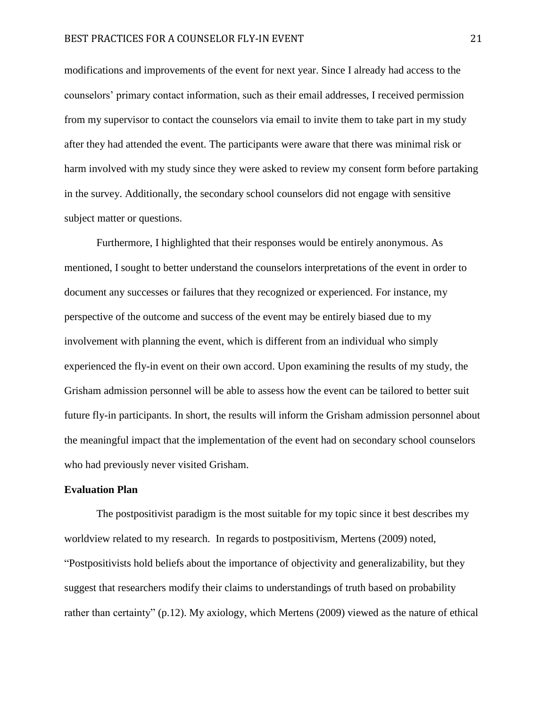modifications and improvements of the event for next year. Since I already had access to the counselors' primary contact information, such as their email addresses, I received permission from my supervisor to contact the counselors via email to invite them to take part in my study after they had attended the event. The participants were aware that there was minimal risk or harm involved with my study since they were asked to review my consent form before partaking in the survey. Additionally, the secondary school counselors did not engage with sensitive subject matter or questions.

Furthermore, I highlighted that their responses would be entirely anonymous. As mentioned, I sought to better understand the counselors interpretations of the event in order to document any successes or failures that they recognized or experienced. For instance, my perspective of the outcome and success of the event may be entirely biased due to my involvement with planning the event, which is different from an individual who simply experienced the fly-in event on their own accord. Upon examining the results of my study, the Grisham admission personnel will be able to assess how the event can be tailored to better suit future fly-in participants. In short, the results will inform the Grisham admission personnel about the meaningful impact that the implementation of the event had on secondary school counselors who had previously never visited Grisham.

## **Evaluation Plan**

The postpositivist paradigm is the most suitable for my topic since it best describes my worldview related to my research. In regards to postpositivism, Mertens (2009) noted, "Postpositivists hold beliefs about the importance of objectivity and generalizability, but they suggest that researchers modify their claims to understandings of truth based on probability rather than certainty" (p.12). My axiology, which Mertens (2009) viewed as the nature of ethical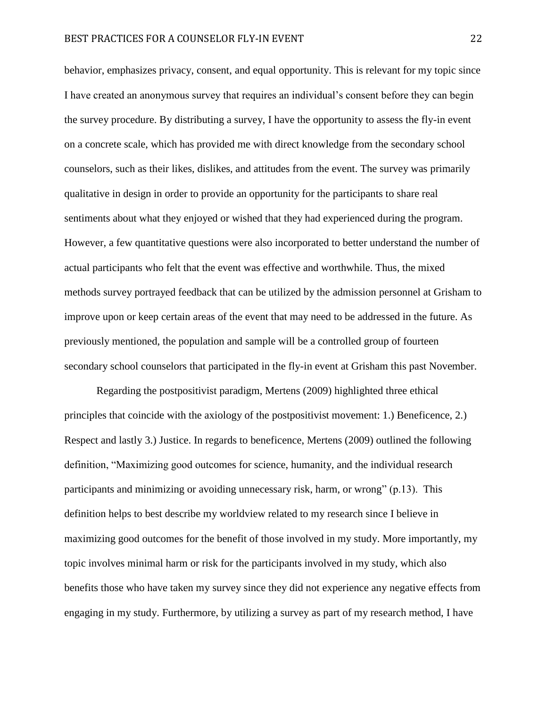behavior, emphasizes privacy, consent, and equal opportunity. This is relevant for my topic since I have created an anonymous survey that requires an individual's consent before they can begin the survey procedure. By distributing a survey, I have the opportunity to assess the fly-in event on a concrete scale, which has provided me with direct knowledge from the secondary school counselors, such as their likes, dislikes, and attitudes from the event. The survey was primarily qualitative in design in order to provide an opportunity for the participants to share real sentiments about what they enjoyed or wished that they had experienced during the program. However, a few quantitative questions were also incorporated to better understand the number of actual participants who felt that the event was effective and worthwhile. Thus, the mixed methods survey portrayed feedback that can be utilized by the admission personnel at Grisham to improve upon or keep certain areas of the event that may need to be addressed in the future. As previously mentioned, the population and sample will be a controlled group of fourteen secondary school counselors that participated in the fly-in event at Grisham this past November.

Regarding the postpositivist paradigm, Mertens (2009) highlighted three ethical principles that coincide with the axiology of the postpositivist movement: 1.) Beneficence, 2.) Respect and lastly 3.) Justice. In regards to beneficence, Mertens (2009) outlined the following definition, "Maximizing good outcomes for science, humanity, and the individual research participants and minimizing or avoiding unnecessary risk, harm, or wrong" (p.13). This definition helps to best describe my worldview related to my research since I believe in maximizing good outcomes for the benefit of those involved in my study. More importantly, my topic involves minimal harm or risk for the participants involved in my study, which also benefits those who have taken my survey since they did not experience any negative effects from engaging in my study. Furthermore, by utilizing a survey as part of my research method, I have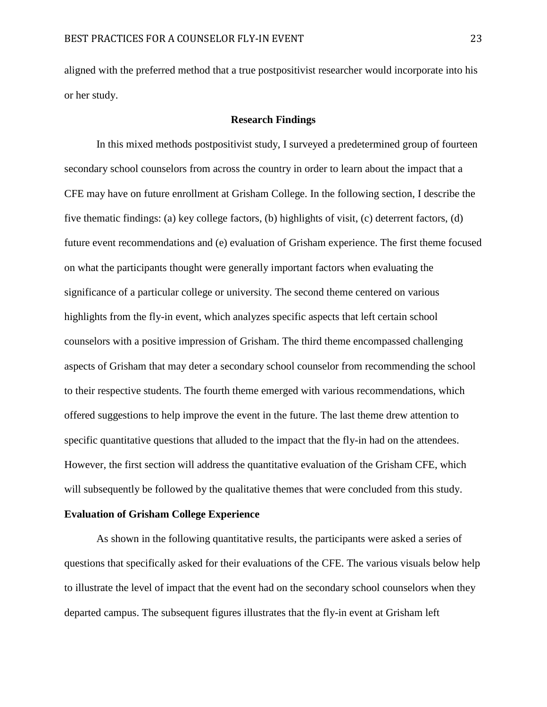aligned with the preferred method that a true postpositivist researcher would incorporate into his or her study.

## **Research Findings**

In this mixed methods postpositivist study, I surveyed a predetermined group of fourteen secondary school counselors from across the country in order to learn about the impact that a CFE may have on future enrollment at Grisham College. In the following section, I describe the five thematic findings: (a) key college factors, (b) highlights of visit, (c) deterrent factors, (d) future event recommendations and (e) evaluation of Grisham experience. The first theme focused on what the participants thought were generally important factors when evaluating the significance of a particular college or university. The second theme centered on various highlights from the fly-in event, which analyzes specific aspects that left certain school counselors with a positive impression of Grisham. The third theme encompassed challenging aspects of Grisham that may deter a secondary school counselor from recommending the school to their respective students. The fourth theme emerged with various recommendations, which offered suggestions to help improve the event in the future. The last theme drew attention to specific quantitative questions that alluded to the impact that the fly-in had on the attendees. However, the first section will address the quantitative evaluation of the Grisham CFE, which will subsequently be followed by the qualitative themes that were concluded from this study.

# **Evaluation of Grisham College Experience**

As shown in the following quantitative results, the participants were asked a series of questions that specifically asked for their evaluations of the CFE. The various visuals below help to illustrate the level of impact that the event had on the secondary school counselors when they departed campus. The subsequent figures illustrates that the fly-in event at Grisham left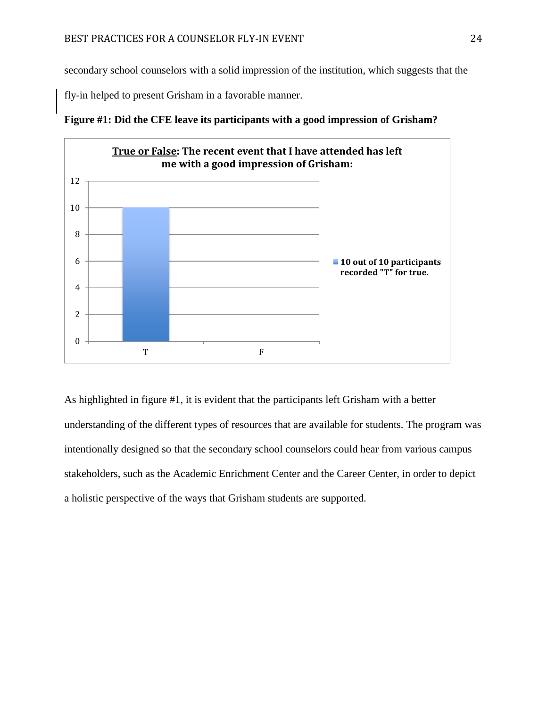secondary school counselors with a solid impression of the institution, which suggests that the

fly-in helped to present Grisham in a favorable manner.



**Figure #1: Did the CFE leave its participants with a good impression of Grisham?**

As highlighted in figure #1, it is evident that the participants left Grisham with a better understanding of the different types of resources that are available for students. The program was intentionally designed so that the secondary school counselors could hear from various campus stakeholders, such as the Academic Enrichment Center and the Career Center, in order to depict a holistic perspective of the ways that Grisham students are supported.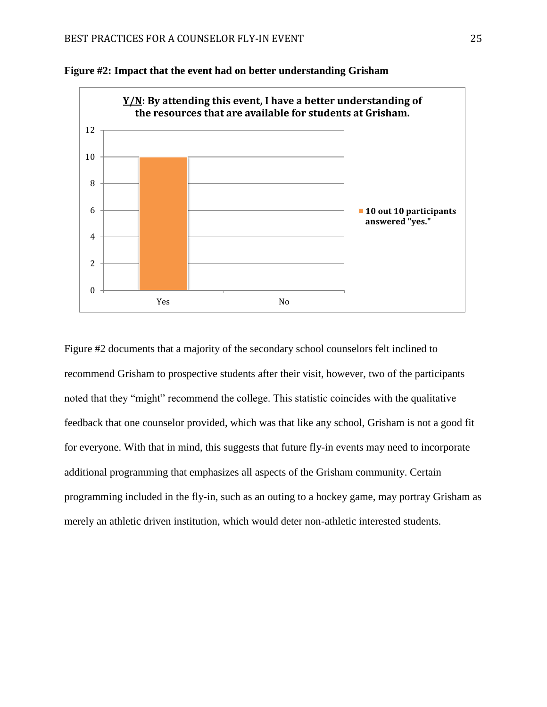



Figure #2 documents that a majority of the secondary school counselors felt inclined to recommend Grisham to prospective students after their visit, however, two of the participants noted that they "might" recommend the college. This statistic coincides with the qualitative feedback that one counselor provided, which was that like any school, Grisham is not a good fit for everyone. With that in mind, this suggests that future fly-in events may need to incorporate additional programming that emphasizes all aspects of the Grisham community. Certain programming included in the fly-in, such as an outing to a hockey game, may portray Grisham as merely an athletic driven institution, which would deter non-athletic interested students.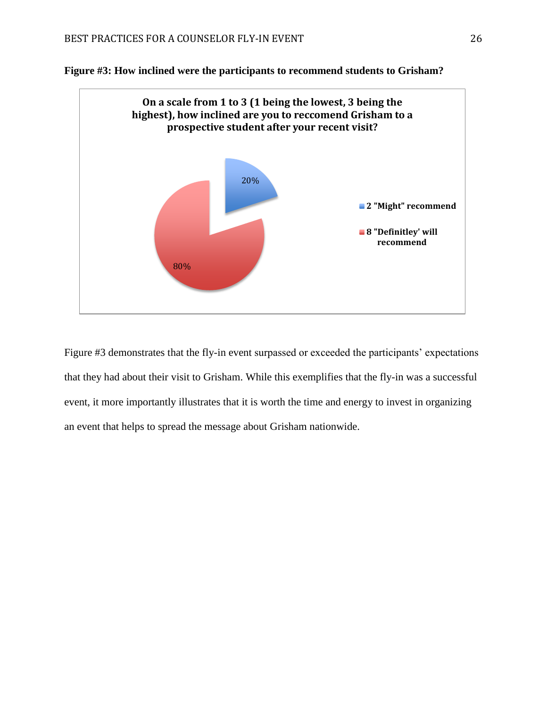



Figure #3 demonstrates that the fly-in event surpassed or exceeded the participants' expectations that they had about their visit to Grisham. While this exemplifies that the fly-in was a successful event, it more importantly illustrates that it is worth the time and energy to invest in organizing an event that helps to spread the message about Grisham nationwide.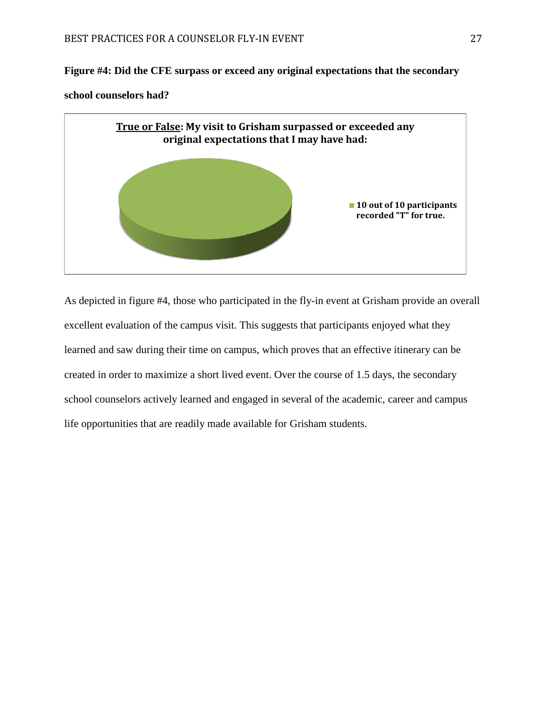**Figure #4: Did the CFE surpass or exceed any original expectations that the secondary** 

# **school counselors had?**



As depicted in figure #4, those who participated in the fly-in event at Grisham provide an overall excellent evaluation of the campus visit. This suggests that participants enjoyed what they learned and saw during their time on campus, which proves that an effective itinerary can be created in order to maximize a short lived event. Over the course of 1.5 days, the secondary school counselors actively learned and engaged in several of the academic, career and campus life opportunities that are readily made available for Grisham students.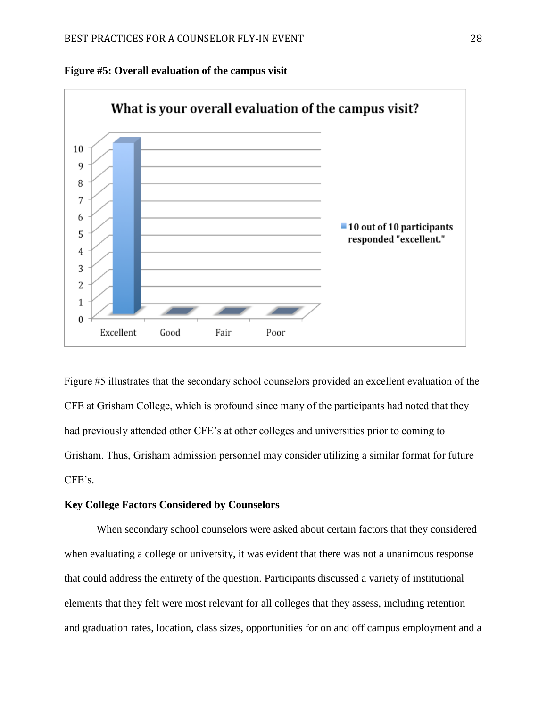



Figure #5 illustrates that the secondary school counselors provided an excellent evaluation of the CFE at Grisham College, which is profound since many of the participants had noted that they had previously attended other CFE's at other colleges and universities prior to coming to Grisham. Thus, Grisham admission personnel may consider utilizing a similar format for future CFE's.

# **Key College Factors Considered by Counselors**

When secondary school counselors were asked about certain factors that they considered when evaluating a college or university, it was evident that there was not a unanimous response that could address the entirety of the question. Participants discussed a variety of institutional elements that they felt were most relevant for all colleges that they assess, including retention and graduation rates, location, class sizes, opportunities for on and off campus employment and a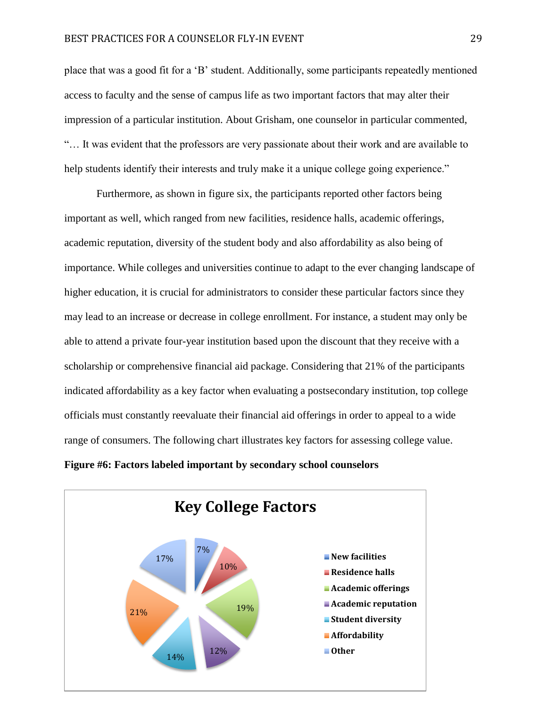place that was a good fit for a 'B' student. Additionally, some participants repeatedly mentioned access to faculty and the sense of campus life as two important factors that may alter their impression of a particular institution. About Grisham, one counselor in particular commented, "… It was evident that the professors are very passionate about their work and are available to help students identify their interests and truly make it a unique college going experience."

Furthermore, as shown in figure six, the participants reported other factors being important as well, which ranged from new facilities, residence halls, academic offerings, academic reputation, diversity of the student body and also affordability as also being of importance. While colleges and universities continue to adapt to the ever changing landscape of higher education, it is crucial for administrators to consider these particular factors since they may lead to an increase or decrease in college enrollment. For instance, a student may only be able to attend a private four-year institution based upon the discount that they receive with a scholarship or comprehensive financial aid package. Considering that 21% of the participants indicated affordability as a key factor when evaluating a postsecondary institution, top college officials must constantly reevaluate their financial aid offerings in order to appeal to a wide range of consumers. The following chart illustrates key factors for assessing college value.

**Figure #6: Factors labeled important by secondary school counselors**

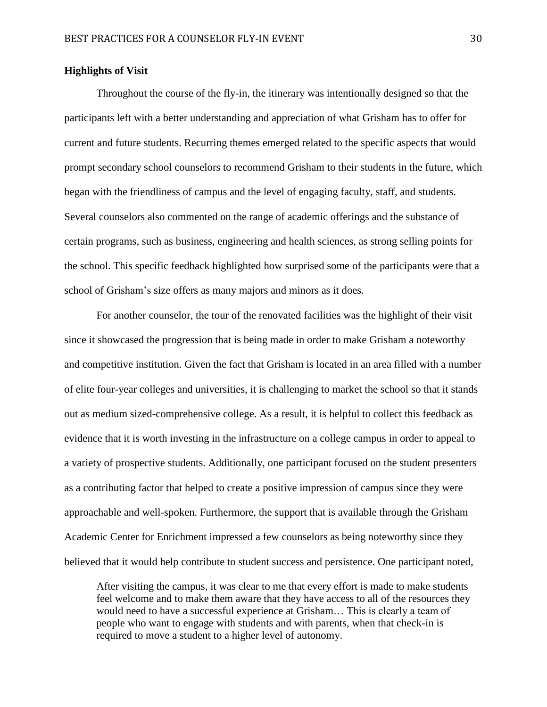# **Highlights of Visit**

Throughout the course of the fly-in, the itinerary was intentionally designed so that the participants left with a better understanding and appreciation of what Grisham has to offer for current and future students. Recurring themes emerged related to the specific aspects that would prompt secondary school counselors to recommend Grisham to their students in the future, which began with the friendliness of campus and the level of engaging faculty, staff, and students. Several counselors also commented on the range of academic offerings and the substance of certain programs, such as business, engineering and health sciences, as strong selling points for the school. This specific feedback highlighted how surprised some of the participants were that a school of Grisham's size offers as many majors and minors as it does.

For another counselor, the tour of the renovated facilities was the highlight of their visit since it showcased the progression that is being made in order to make Grisham a noteworthy and competitive institution. Given the fact that Grisham is located in an area filled with a number of elite four-year colleges and universities, it is challenging to market the school so that it stands out as medium sized-comprehensive college. As a result, it is helpful to collect this feedback as evidence that it is worth investing in the infrastructure on a college campus in order to appeal to a variety of prospective students. Additionally, one participant focused on the student presenters as a contributing factor that helped to create a positive impression of campus since they were approachable and well-spoken. Furthermore, the support that is available through the Grisham Academic Center for Enrichment impressed a few counselors as being noteworthy since they believed that it would help contribute to student success and persistence. One participant noted,

After visiting the campus, it was clear to me that every effort is made to make students feel welcome and to make them aware that they have access to all of the resources they would need to have a successful experience at Grisham… This is clearly a team of people who want to engage with students and with parents, when that check-in is required to move a student to a higher level of autonomy.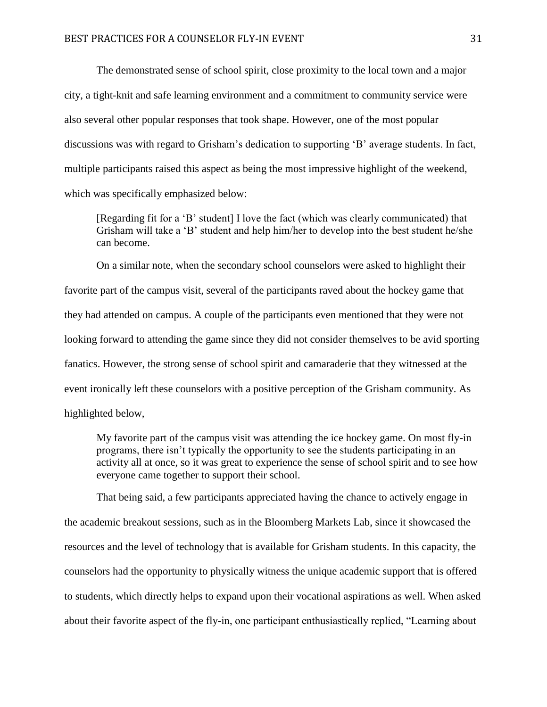The demonstrated sense of school spirit, close proximity to the local town and a major city, a tight-knit and safe learning environment and a commitment to community service were also several other popular responses that took shape. However, one of the most popular discussions was with regard to Grisham's dedication to supporting 'B' average students. In fact, multiple participants raised this aspect as being the most impressive highlight of the weekend, which was specifically emphasized below:

[Regarding fit for a 'B' student] I love the fact (which was clearly communicated) that Grisham will take a 'B' student and help him/her to develop into the best student he/she can become.

On a similar note, when the secondary school counselors were asked to highlight their favorite part of the campus visit, several of the participants raved about the hockey game that they had attended on campus. A couple of the participants even mentioned that they were not looking forward to attending the game since they did not consider themselves to be avid sporting fanatics. However, the strong sense of school spirit and camaraderie that they witnessed at the event ironically left these counselors with a positive perception of the Grisham community. As highlighted below,

My favorite part of the campus visit was attending the ice hockey game. On most fly-in programs, there isn't typically the opportunity to see the students participating in an activity all at once, so it was great to experience the sense of school spirit and to see how everyone came together to support their school.

That being said, a few participants appreciated having the chance to actively engage in the academic breakout sessions, such as in the Bloomberg Markets Lab, since it showcased the resources and the level of technology that is available for Grisham students. In this capacity, the counselors had the opportunity to physically witness the unique academic support that is offered to students, which directly helps to expand upon their vocational aspirations as well. When asked about their favorite aspect of the fly-in, one participant enthusiastically replied, "Learning about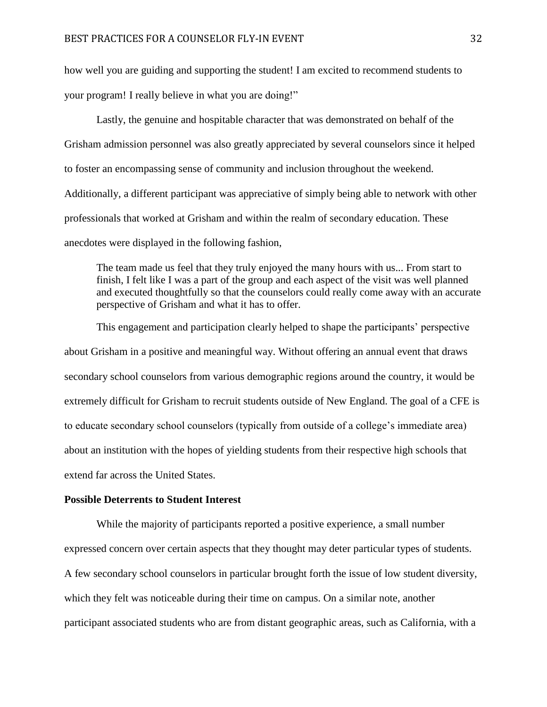how well you are guiding and supporting the student! I am excited to recommend students to your program! I really believe in what you are doing!"

Lastly, the genuine and hospitable character that was demonstrated on behalf of the Grisham admission personnel was also greatly appreciated by several counselors since it helped to foster an encompassing sense of community and inclusion throughout the weekend. Additionally, a different participant was appreciative of simply being able to network with other professionals that worked at Grisham and within the realm of secondary education. These anecdotes were displayed in the following fashion,

The team made us feel that they truly enjoyed the many hours with us... From start to finish, I felt like I was a part of the group and each aspect of the visit was well planned and executed thoughtfully so that the counselors could really come away with an accurate perspective of Grisham and what it has to offer.

This engagement and participation clearly helped to shape the participants' perspective about Grisham in a positive and meaningful way. Without offering an annual event that draws secondary school counselors from various demographic regions around the country, it would be extremely difficult for Grisham to recruit students outside of New England. The goal of a CFE is to educate secondary school counselors (typically from outside of a college's immediate area) about an institution with the hopes of yielding students from their respective high schools that extend far across the United States.

# **Possible Deterrents to Student Interest**

While the majority of participants reported a positive experience, a small number expressed concern over certain aspects that they thought may deter particular types of students. A few secondary school counselors in particular brought forth the issue of low student diversity, which they felt was noticeable during their time on campus. On a similar note, another participant associated students who are from distant geographic areas, such as California, with a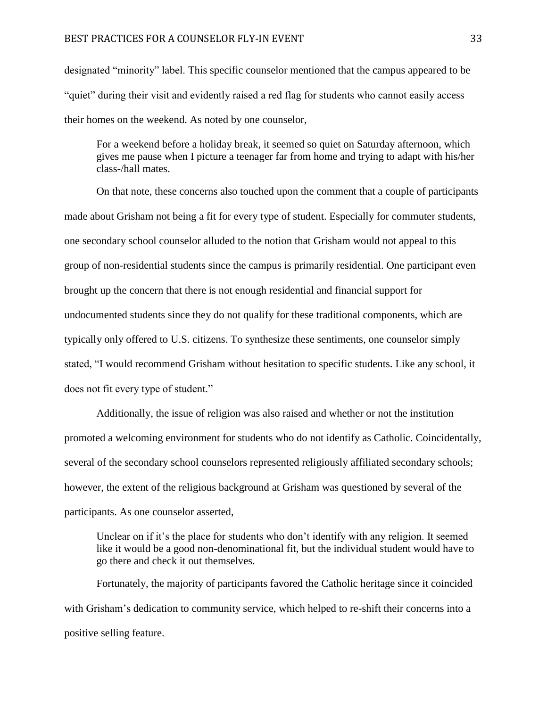designated "minority" label. This specific counselor mentioned that the campus appeared to be "quiet" during their visit and evidently raised a red flag for students who cannot easily access their homes on the weekend. As noted by one counselor,

For a weekend before a holiday break, it seemed so quiet on Saturday afternoon, which gives me pause when I picture a teenager far from home and trying to adapt with his/her class-/hall mates.

On that note, these concerns also touched upon the comment that a couple of participants made about Grisham not being a fit for every type of student. Especially for commuter students, one secondary school counselor alluded to the notion that Grisham would not appeal to this group of non-residential students since the campus is primarily residential. One participant even brought up the concern that there is not enough residential and financial support for undocumented students since they do not qualify for these traditional components, which are typically only offered to U.S. citizens. To synthesize these sentiments, one counselor simply stated, "I would recommend Grisham without hesitation to specific students. Like any school, it does not fit every type of student."

Additionally, the issue of religion was also raised and whether or not the institution promoted a welcoming environment for students who do not identify as Catholic. Coincidentally, several of the secondary school counselors represented religiously affiliated secondary schools; however, the extent of the religious background at Grisham was questioned by several of the participants. As one counselor asserted,

Unclear on if it's the place for students who don't identify with any religion. It seemed like it would be a good non-denominational fit, but the individual student would have to go there and check it out themselves.

Fortunately, the majority of participants favored the Catholic heritage since it coincided with Grisham's dedication to community service, which helped to re-shift their concerns into a positive selling feature.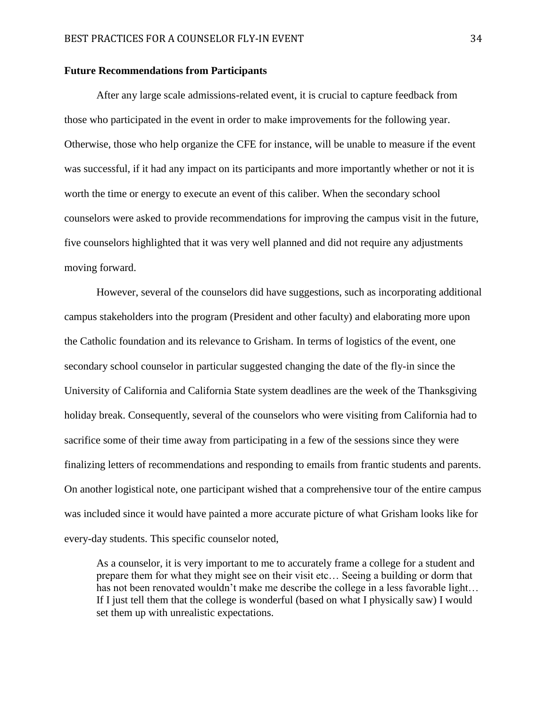# **Future Recommendations from Participants**

After any large scale admissions-related event, it is crucial to capture feedback from those who participated in the event in order to make improvements for the following year. Otherwise, those who help organize the CFE for instance, will be unable to measure if the event was successful, if it had any impact on its participants and more importantly whether or not it is worth the time or energy to execute an event of this caliber. When the secondary school counselors were asked to provide recommendations for improving the campus visit in the future, five counselors highlighted that it was very well planned and did not require any adjustments moving forward.

However, several of the counselors did have suggestions, such as incorporating additional campus stakeholders into the program (President and other faculty) and elaborating more upon the Catholic foundation and its relevance to Grisham. In terms of logistics of the event, one secondary school counselor in particular suggested changing the date of the fly-in since the University of California and California State system deadlines are the week of the Thanksgiving holiday break. Consequently, several of the counselors who were visiting from California had to sacrifice some of their time away from participating in a few of the sessions since they were finalizing letters of recommendations and responding to emails from frantic students and parents. On another logistical note, one participant wished that a comprehensive tour of the entire campus was included since it would have painted a more accurate picture of what Grisham looks like for every-day students. This specific counselor noted,

As a counselor, it is very important to me to accurately frame a college for a student and prepare them for what they might see on their visit etc… Seeing a building or dorm that has not been renovated wouldn't make me describe the college in a less favorable light... If I just tell them that the college is wonderful (based on what I physically saw) I would set them up with unrealistic expectations.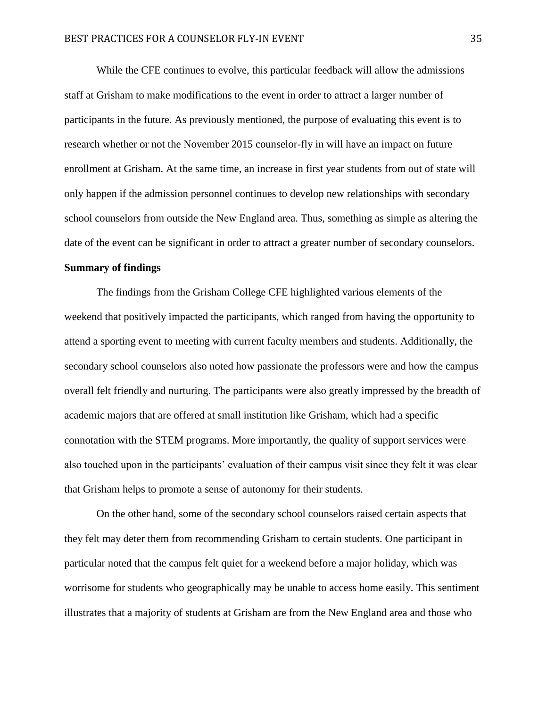While the CFE continues to evolve, this particular feedback will allow the admissions staff at Grisham to make modifications to the event in order to attract a larger number of participants in the future. As previously mentioned, the purpose of evaluating this event is to research whether or not the November 2015 counselor-fly in will have an impact on future enrollment at Grisham. At the same time, an increase in first year students from out of state will only happen if the admission personnel continues to develop new relationships with secondary school counselors from outside the New England area. Thus, something as simple as altering the date of the event can be significant in order to attract a greater number of secondary counselors.

# **Summary of findings**

The findings from the Grisham College CFE highlighted various elements of the weekend that positively impacted the participants, which ranged from having the opportunity to attend a sporting event to meeting with current faculty members and students. Additionally, the secondary school counselors also noted how passionate the professors were and how the campus overall felt friendly and nurturing. The participants were also greatly impressed by the breadth of academic majors that are offered at small institution like Grisham, which had a specific connotation with the STEM programs. More importantly, the quality of support services were also touched upon in the participants' evaluation of their campus visit since they felt it was clear that Grisham helps to promote a sense of autonomy for their students.

On the other hand, some of the secondary school counselors raised certain aspects that they felt may deter them from recommending Grisham to certain students. One participant in particular noted that the campus felt quiet for a weekend before a major holiday, which was worrisome for students who geographically may be unable to access home easily. This sentiment illustrates that a majority of students at Grisham are from the New England area and those who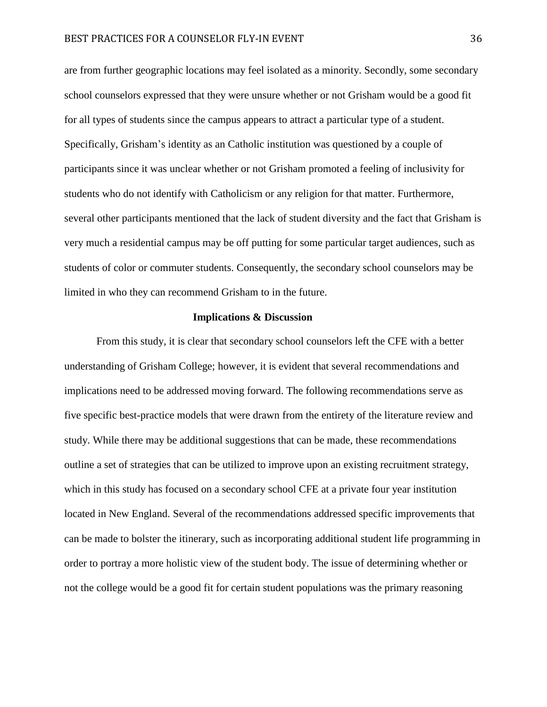are from further geographic locations may feel isolated as a minority. Secondly, some secondary school counselors expressed that they were unsure whether or not Grisham would be a good fit for all types of students since the campus appears to attract a particular type of a student. Specifically, Grisham's identity as an Catholic institution was questioned by a couple of participants since it was unclear whether or not Grisham promoted a feeling of inclusivity for students who do not identify with Catholicism or any religion for that matter. Furthermore, several other participants mentioned that the lack of student diversity and the fact that Grisham is very much a residential campus may be off putting for some particular target audiences, such as students of color or commuter students. Consequently, the secondary school counselors may be limited in who they can recommend Grisham to in the future.

## **Implications & Discussion**

From this study, it is clear that secondary school counselors left the CFE with a better understanding of Grisham College; however, it is evident that several recommendations and implications need to be addressed moving forward. The following recommendations serve as five specific best-practice models that were drawn from the entirety of the literature review and study. While there may be additional suggestions that can be made, these recommendations outline a set of strategies that can be utilized to improve upon an existing recruitment strategy, which in this study has focused on a secondary school CFE at a private four year institution located in New England. Several of the recommendations addressed specific improvements that can be made to bolster the itinerary, such as incorporating additional student life programming in order to portray a more holistic view of the student body. The issue of determining whether or not the college would be a good fit for certain student populations was the primary reasoning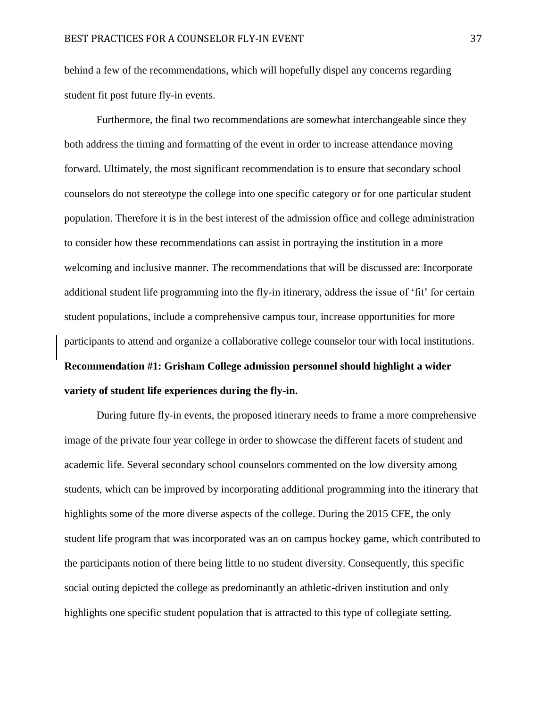behind a few of the recommendations, which will hopefully dispel any concerns regarding student fit post future fly-in events.

Furthermore, the final two recommendations are somewhat interchangeable since they both address the timing and formatting of the event in order to increase attendance moving forward. Ultimately, the most significant recommendation is to ensure that secondary school counselors do not stereotype the college into one specific category or for one particular student population. Therefore it is in the best interest of the admission office and college administration to consider how these recommendations can assist in portraying the institution in a more welcoming and inclusive manner. The recommendations that will be discussed are: Incorporate additional student life programming into the fly-in itinerary, address the issue of 'fit' for certain student populations, include a comprehensive campus tour, increase opportunities for more participants to attend and organize a collaborative college counselor tour with local institutions. **Recommendation #1: Grisham College admission personnel should highlight a wider variety of student life experiences during the fly-in.**

During future fly-in events, the proposed itinerary needs to frame a more comprehensive image of the private four year college in order to showcase the different facets of student and academic life. Several secondary school counselors commented on the low diversity among students, which can be improved by incorporating additional programming into the itinerary that highlights some of the more diverse aspects of the college. During the 2015 CFE, the only student life program that was incorporated was an on campus hockey game, which contributed to the participants notion of there being little to no student diversity. Consequently, this specific social outing depicted the college as predominantly an athletic-driven institution and only highlights one specific student population that is attracted to this type of collegiate setting.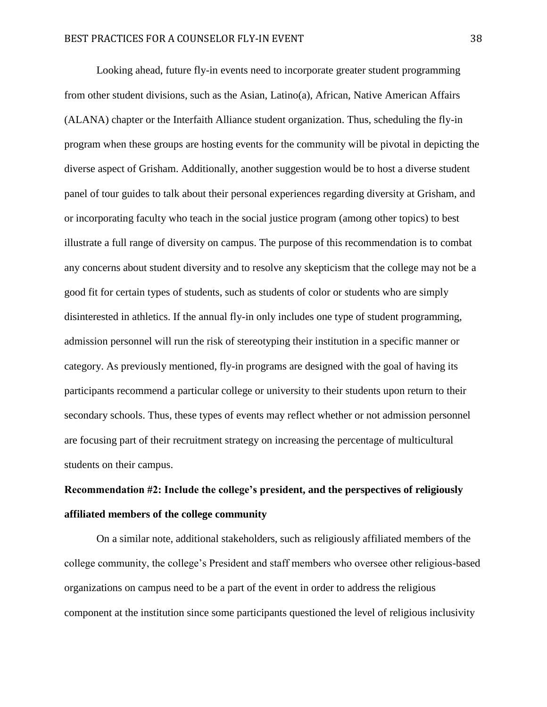Looking ahead, future fly-in events need to incorporate greater student programming from other student divisions, such as the Asian, Latino(a), African, Native American Affairs (ALANA) chapter or the Interfaith Alliance student organization. Thus, scheduling the fly-in program when these groups are hosting events for the community will be pivotal in depicting the diverse aspect of Grisham. Additionally, another suggestion would be to host a diverse student panel of tour guides to talk about their personal experiences regarding diversity at Grisham, and or incorporating faculty who teach in the social justice program (among other topics) to best illustrate a full range of diversity on campus. The purpose of this recommendation is to combat any concerns about student diversity and to resolve any skepticism that the college may not be a good fit for certain types of students, such as students of color or students who are simply disinterested in athletics. If the annual fly-in only includes one type of student programming, admission personnel will run the risk of stereotyping their institution in a specific manner or category. As previously mentioned, fly-in programs are designed with the goal of having its participants recommend a particular college or university to their students upon return to their secondary schools. Thus, these types of events may reflect whether or not admission personnel are focusing part of their recruitment strategy on increasing the percentage of multicultural students on their campus.

# **Recommendation #2: Include the college's president, and the perspectives of religiously affiliated members of the college community**

On a similar note, additional stakeholders, such as religiously affiliated members of the college community, the college's President and staff members who oversee other religious-based organizations on campus need to be a part of the event in order to address the religious component at the institution since some participants questioned the level of religious inclusivity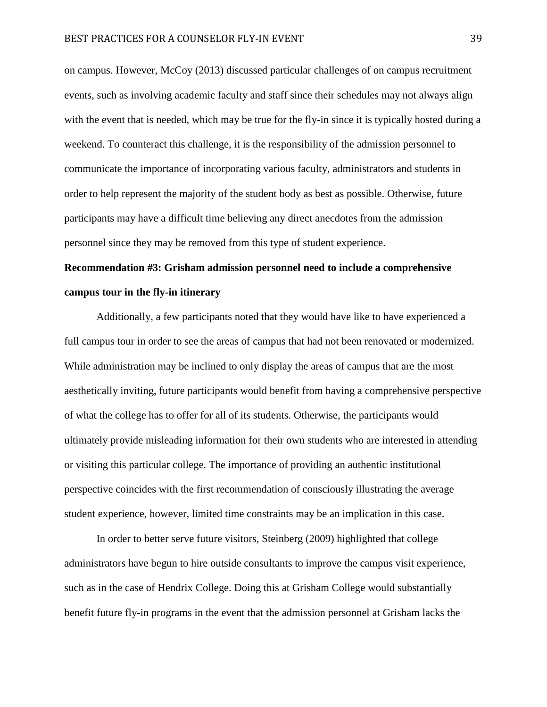on campus. However, McCoy (2013) discussed particular challenges of on campus recruitment events, such as involving academic faculty and staff since their schedules may not always align with the event that is needed, which may be true for the fly-in since it is typically hosted during a weekend. To counteract this challenge, it is the responsibility of the admission personnel to communicate the importance of incorporating various faculty, administrators and students in order to help represent the majority of the student body as best as possible. Otherwise, future participants may have a difficult time believing any direct anecdotes from the admission personnel since they may be removed from this type of student experience.

# **Recommendation #3: Grisham admission personnel need to include a comprehensive campus tour in the fly-in itinerary**

Additionally, a few participants noted that they would have like to have experienced a full campus tour in order to see the areas of campus that had not been renovated or modernized. While administration may be inclined to only display the areas of campus that are the most aesthetically inviting, future participants would benefit from having a comprehensive perspective of what the college has to offer for all of its students. Otherwise, the participants would ultimately provide misleading information for their own students who are interested in attending or visiting this particular college. The importance of providing an authentic institutional perspective coincides with the first recommendation of consciously illustrating the average student experience, however, limited time constraints may be an implication in this case.

In order to better serve future visitors, Steinberg (2009) highlighted that college administrators have begun to hire outside consultants to improve the campus visit experience, such as in the case of Hendrix College. Doing this at Grisham College would substantially benefit future fly-in programs in the event that the admission personnel at Grisham lacks the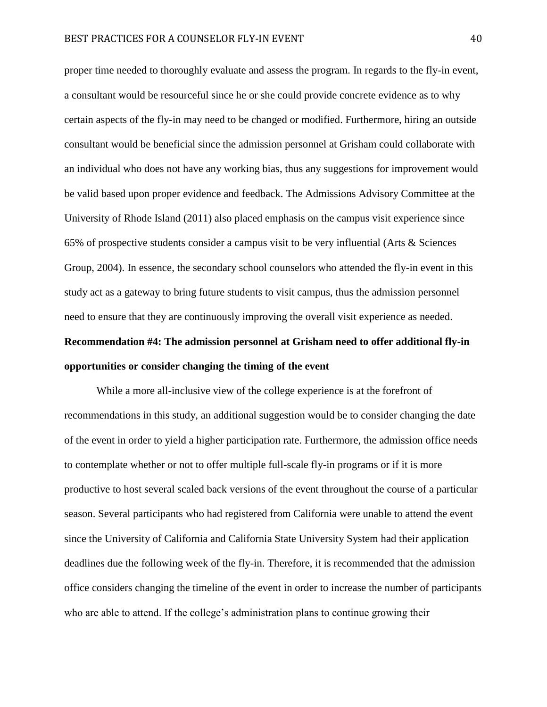proper time needed to thoroughly evaluate and assess the program. In regards to the fly-in event, a consultant would be resourceful since he or she could provide concrete evidence as to why certain aspects of the fly-in may need to be changed or modified. Furthermore, hiring an outside consultant would be beneficial since the admission personnel at Grisham could collaborate with an individual who does not have any working bias, thus any suggestions for improvement would be valid based upon proper evidence and feedback. The Admissions Advisory Committee at the University of Rhode Island (2011) also placed emphasis on the campus visit experience since 65% of prospective students consider a campus visit to be very influential (Arts & Sciences Group, 2004). In essence, the secondary school counselors who attended the fly-in event in this study act as a gateway to bring future students to visit campus, thus the admission personnel need to ensure that they are continuously improving the overall visit experience as needed.

# **Recommendation #4: The admission personnel at Grisham need to offer additional fly-in opportunities or consider changing the timing of the event**

While a more all-inclusive view of the college experience is at the forefront of recommendations in this study, an additional suggestion would be to consider changing the date of the event in order to yield a higher participation rate. Furthermore, the admission office needs to contemplate whether or not to offer multiple full-scale fly-in programs or if it is more productive to host several scaled back versions of the event throughout the course of a particular season. Several participants who had registered from California were unable to attend the event since the University of California and California State University System had their application deadlines due the following week of the fly-in. Therefore, it is recommended that the admission office considers changing the timeline of the event in order to increase the number of participants who are able to attend. If the college's administration plans to continue growing their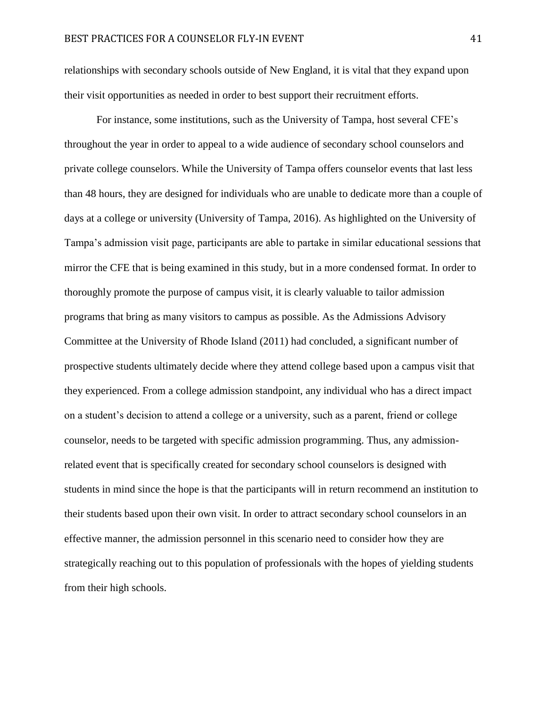relationships with secondary schools outside of New England, it is vital that they expand upon their visit opportunities as needed in order to best support their recruitment efforts.

For instance, some institutions, such as the University of Tampa, host several CFE's throughout the year in order to appeal to a wide audience of secondary school counselors and private college counselors. While the University of Tampa offers counselor events that last less than 48 hours, they are designed for individuals who are unable to dedicate more than a couple of days at a college or university (University of Tampa, 2016). As highlighted on the University of Tampa's admission visit page, participants are able to partake in similar educational sessions that mirror the CFE that is being examined in this study, but in a more condensed format. In order to thoroughly promote the purpose of campus visit, it is clearly valuable to tailor admission programs that bring as many visitors to campus as possible. As the Admissions Advisory Committee at the University of Rhode Island (2011) had concluded, a significant number of prospective students ultimately decide where they attend college based upon a campus visit that they experienced. From a college admission standpoint, any individual who has a direct impact on a student's decision to attend a college or a university, such as a parent, friend or college counselor, needs to be targeted with specific admission programming. Thus, any admissionrelated event that is specifically created for secondary school counselors is designed with students in mind since the hope is that the participants will in return recommend an institution to their students based upon their own visit. In order to attract secondary school counselors in an effective manner, the admission personnel in this scenario need to consider how they are strategically reaching out to this population of professionals with the hopes of yielding students from their high schools.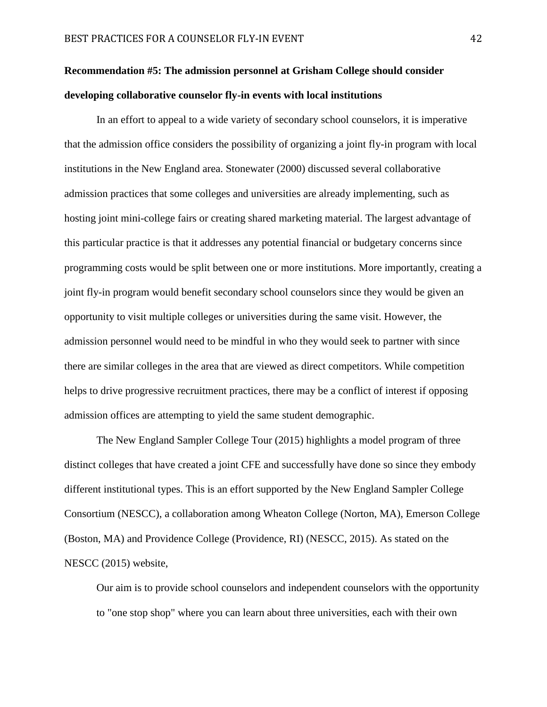# **Recommendation #5: The admission personnel at Grisham College should consider developing collaborative counselor fly-in events with local institutions**

In an effort to appeal to a wide variety of secondary school counselors, it is imperative that the admission office considers the possibility of organizing a joint fly-in program with local institutions in the New England area. Stonewater (2000) discussed several collaborative admission practices that some colleges and universities are already implementing, such as hosting joint mini-college fairs or creating shared marketing material. The largest advantage of this particular practice is that it addresses any potential financial or budgetary concerns since programming costs would be split between one or more institutions. More importantly, creating a joint fly-in program would benefit secondary school counselors since they would be given an opportunity to visit multiple colleges or universities during the same visit. However, the admission personnel would need to be mindful in who they would seek to partner with since there are similar colleges in the area that are viewed as direct competitors. While competition helps to drive progressive recruitment practices, there may be a conflict of interest if opposing admission offices are attempting to yield the same student demographic.

The New England Sampler College Tour (2015) highlights a model program of three distinct colleges that have created a joint CFE and successfully have done so since they embody different institutional types. This is an effort supported by the New England Sampler College Consortium (NESCC), a collaboration among Wheaton College (Norton, MA), Emerson College (Boston, MA) and Providence College (Providence, RI) (NESCC, 2015). As stated on the NESCC (2015) website,

Our aim is to provide school counselors and independent counselors with the opportunity to "one stop shop" where you can learn about three universities, each with their own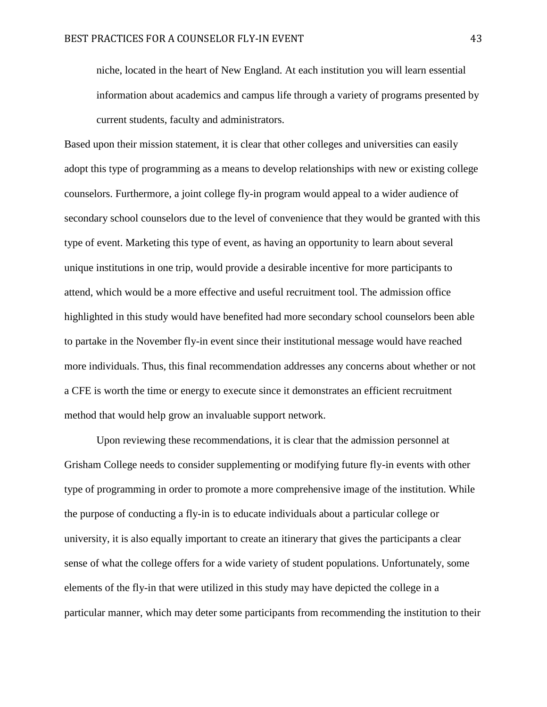niche, located in the heart of New England. At each institution you will learn essential information about academics and campus life through a variety of programs presented by current students, faculty and administrators.

Based upon their mission statement, it is clear that other colleges and universities can easily adopt this type of programming as a means to develop relationships with new or existing college counselors. Furthermore, a joint college fly-in program would appeal to a wider audience of secondary school counselors due to the level of convenience that they would be granted with this type of event. Marketing this type of event, as having an opportunity to learn about several unique institutions in one trip, would provide a desirable incentive for more participants to attend, which would be a more effective and useful recruitment tool. The admission office highlighted in this study would have benefited had more secondary school counselors been able to partake in the November fly-in event since their institutional message would have reached more individuals. Thus, this final recommendation addresses any concerns about whether or not a CFE is worth the time or energy to execute since it demonstrates an efficient recruitment method that would help grow an invaluable support network.

Upon reviewing these recommendations, it is clear that the admission personnel at Grisham College needs to consider supplementing or modifying future fly-in events with other type of programming in order to promote a more comprehensive image of the institution. While the purpose of conducting a fly-in is to educate individuals about a particular college or university, it is also equally important to create an itinerary that gives the participants a clear sense of what the college offers for a wide variety of student populations. Unfortunately, some elements of the fly-in that were utilized in this study may have depicted the college in a particular manner, which may deter some participants from recommending the institution to their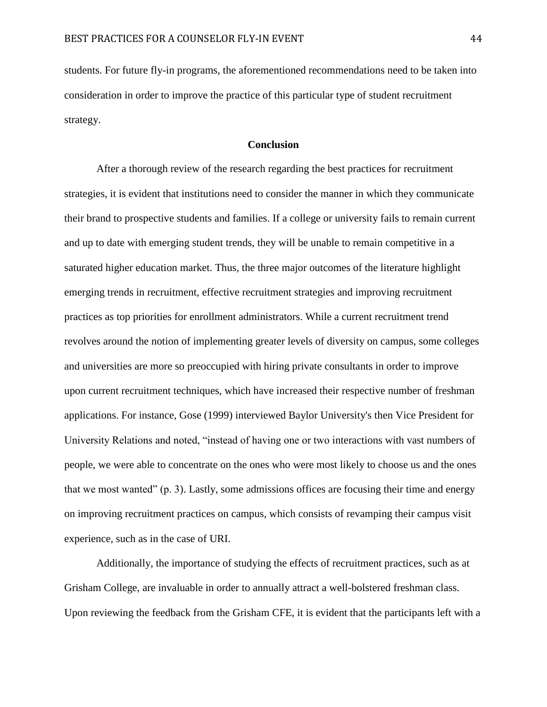students. For future fly-in programs, the aforementioned recommendations need to be taken into consideration in order to improve the practice of this particular type of student recruitment strategy.

# **Conclusion**

After a thorough review of the research regarding the best practices for recruitment strategies, it is evident that institutions need to consider the manner in which they communicate their brand to prospective students and families. If a college or university fails to remain current and up to date with emerging student trends, they will be unable to remain competitive in a saturated higher education market. Thus, the three major outcomes of the literature highlight emerging trends in recruitment, effective recruitment strategies and improving recruitment practices as top priorities for enrollment administrators. While a current recruitment trend revolves around the notion of implementing greater levels of diversity on campus, some colleges and universities are more so preoccupied with hiring private consultants in order to improve upon current recruitment techniques, which have increased their respective number of freshman applications. For instance, Gose (1999) interviewed Baylor University's then Vice President for University Relations and noted, "instead of having one or two interactions with vast numbers of people, we were able to concentrate on the ones who were most likely to choose us and the ones that we most wanted" (p. 3). Lastly, some admissions offices are focusing their time and energy on improving recruitment practices on campus, which consists of revamping their campus visit experience, such as in the case of URI.

Additionally, the importance of studying the effects of recruitment practices, such as at Grisham College, are invaluable in order to annually attract a well-bolstered freshman class. Upon reviewing the feedback from the Grisham CFE, it is evident that the participants left with a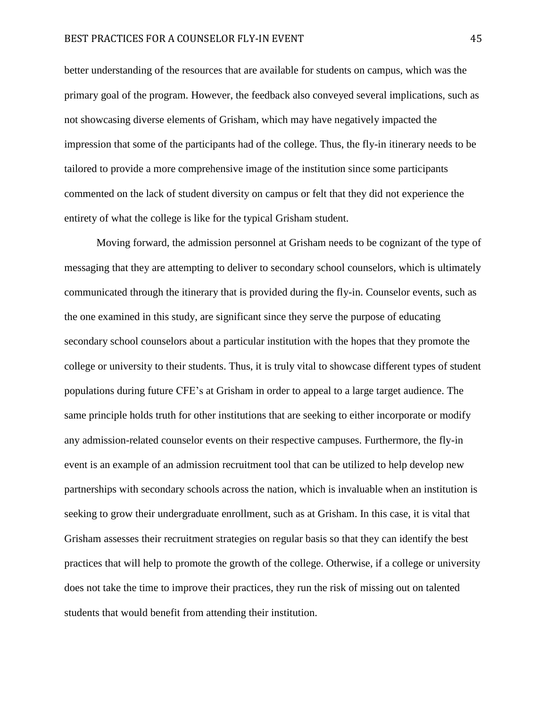better understanding of the resources that are available for students on campus, which was the primary goal of the program. However, the feedback also conveyed several implications, such as not showcasing diverse elements of Grisham, which may have negatively impacted the impression that some of the participants had of the college. Thus, the fly-in itinerary needs to be tailored to provide a more comprehensive image of the institution since some participants commented on the lack of student diversity on campus or felt that they did not experience the entirety of what the college is like for the typical Grisham student.

Moving forward, the admission personnel at Grisham needs to be cognizant of the type of messaging that they are attempting to deliver to secondary school counselors, which is ultimately communicated through the itinerary that is provided during the fly-in. Counselor events, such as the one examined in this study, are significant since they serve the purpose of educating secondary school counselors about a particular institution with the hopes that they promote the college or university to their students. Thus, it is truly vital to showcase different types of student populations during future CFE's at Grisham in order to appeal to a large target audience. The same principle holds truth for other institutions that are seeking to either incorporate or modify any admission-related counselor events on their respective campuses. Furthermore, the fly-in event is an example of an admission recruitment tool that can be utilized to help develop new partnerships with secondary schools across the nation, which is invaluable when an institution is seeking to grow their undergraduate enrollment, such as at Grisham. In this case, it is vital that Grisham assesses their recruitment strategies on regular basis so that they can identify the best practices that will help to promote the growth of the college. Otherwise, if a college or university does not take the time to improve their practices, they run the risk of missing out on talented students that would benefit from attending their institution.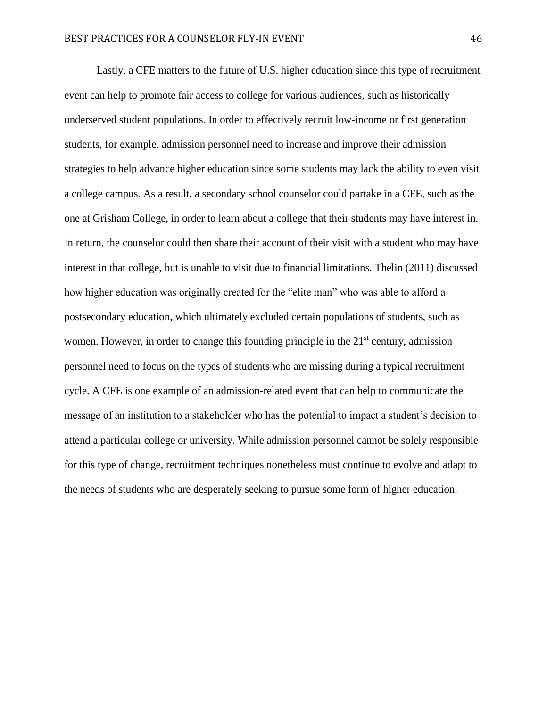Lastly, a CFE matters to the future of U.S. higher education since this type of recruitment event can help to promote fair access to college for various audiences, such as historically underserved student populations. In order to effectively recruit low-income or first generation students, for example, admission personnel need to increase and improve their admission strategies to help advance higher education since some students may lack the ability to even visit a college campus. As a result, a secondary school counselor could partake in a CFE, such as the one at Grisham College, in order to learn about a college that their students may have interest in. In return, the counselor could then share their account of their visit with a student who may have interest in that college, but is unable to visit due to financial limitations. Thelin (2011) discussed how higher education was originally created for the "elite man" who was able to afford a postsecondary education, which ultimately excluded certain populations of students, such as women. However, in order to change this founding principle in the  $21<sup>st</sup>$  century, admission personnel need to focus on the types of students who are missing during a typical recruitment cycle. A CFE is one example of an admission-related event that can help to communicate the message of an institution to a stakeholder who has the potential to impact a student's decision to attend a particular college or university. While admission personnel cannot be solely responsible for this type of change, recruitment techniques nonetheless must continue to evolve and adapt to the needs of students who are desperately seeking to pursue some form of higher education.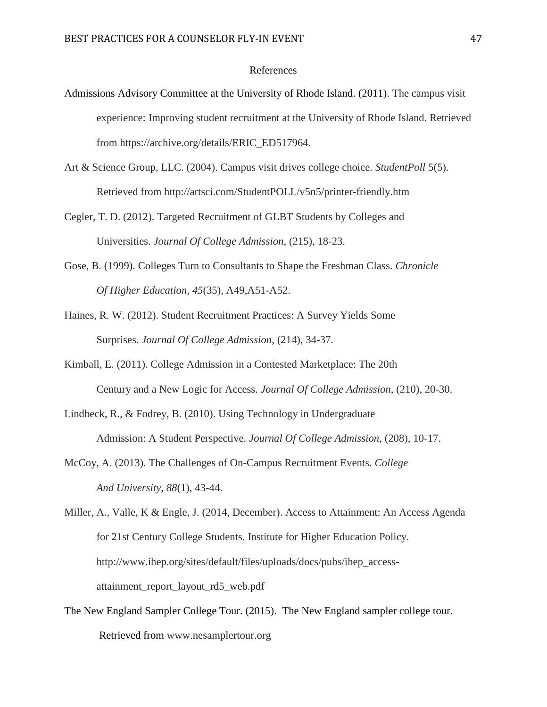# References

- Admissions Advisory Committee at the University of Rhode Island. (2011). The campus visit experience: Improving student recruitment at the University of Rhode Island. Retrieved from https://archive.org/details/ERIC\_ED517964.
- Art & Science Group, LLC. (2004). Campus visit drives college choice. *StudentPoll* 5(5). Retrieved from http://artsci.com/StudentPOLL/v5n5/printer-friendly.htm
- Cegler, T. D. (2012). Targeted Recruitment of GLBT Students by Colleges and Universities. *Journal Of College Admission*, (215), 18-23.
- Gose, B. (1999). Colleges Turn to Consultants to Shape the Freshman Class. *Chronicle Of Higher Education*, *45*(35), A49,A51-A52.
- Haines, R. W. (2012). Student Recruitment Practices: A Survey Yields Some Surprises. *Journal Of College Admission*, (214), 34-37.
- Kimball, E. (2011). College Admission in a Contested Marketplace: The 20th Century and a New Logic for Access. *Journal Of College Admission*, (210), 20-30.
- Lindbeck, R., & Fodrey, B. (2010). Using Technology in Undergraduate Admission: A Student Perspective. *Journal Of College Admission*, (208), 10-17.
- McCoy, A. (2013). The Challenges of On-Campus Recruitment Events. *College And University*, *88*(1), 43-44.
- Miller, A., Valle, K & Engle, J. (2014, December). Access to Attainment: An Access Agenda for 21st Century College Students. Institute for Higher Education Policy. http://www.ihep.org/sites/default/files/uploads/docs/pubs/ihep\_accessattainment report layout rd5 web.pdf
- The New England Sampler College Tour. (2015). The New England sampler college tour. Retrieved from www.nesamplertour.org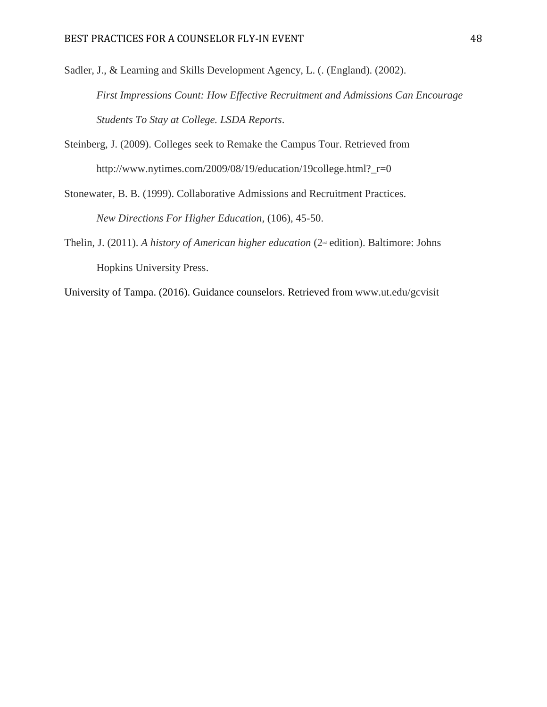Sadler, J., & Learning and Skills Development Agency, L. (. (England). (2002). *First Impressions Count: How Effective Recruitment and Admissions Can Encourage Students To Stay at College. LSDA Reports*.

- Steinberg, J. (2009). Colleges seek to Remake the Campus Tour. Retrieved from http://www.nytimes.com/2009/08/19/education/19college.html?\_r=0
- Stonewater, B. B. (1999). Collaborative Admissions and Recruitment Practices. *New Directions For Higher Education*, (106), 45-50.
- Thelin, J. (2011). *A history of American higher education* (2<sup>nd</sup> edition). Baltimore: Johns Hopkins University Press.
- University of Tampa. (2016). Guidance counselors. Retrieved from www.ut.edu/gcvisit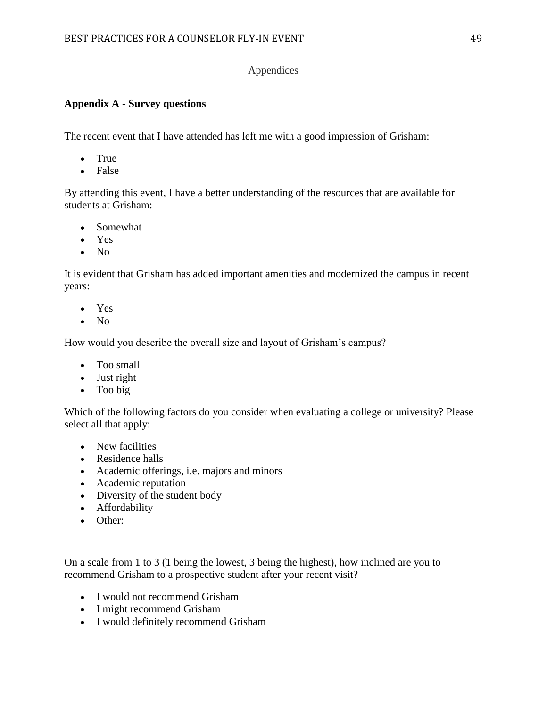# Appendices

# **Appendix A - Survey questions**

The recent event that I have attended has left me with a good impression of Grisham:

- True
- False

By attending this event, I have a better understanding of the resources that are available for students at Grisham:

- Somewhat
- Yes
- $\bullet$  No

It is evident that Grisham has added important amenities and modernized the campus in recent years:

- Yes
- $\bullet$  No

How would you describe the overall size and layout of Grisham's campus?

- Too small
- Just right
- Too big

Which of the following factors do you consider when evaluating a college or university? Please select all that apply:

- New facilities
- Residence halls
- Academic offerings, i.e. majors and minors
- Academic reputation
- Diversity of the student body
- Affordability
- Other:

On a scale from 1 to 3 (1 being the lowest, 3 being the highest), how inclined are you to recommend Grisham to a prospective student after your recent visit?

- I would not recommend Grisham
- I might recommend Grisham
- I would definitely recommend Grisham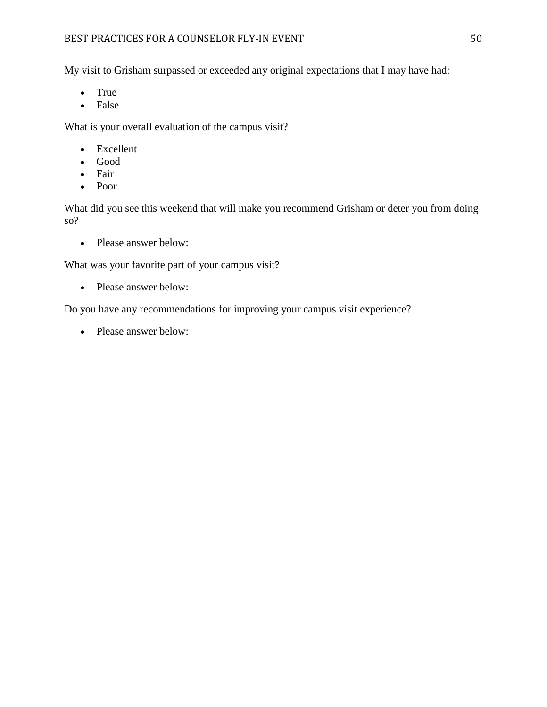# BEST PRACTICES FOR A COUNSELOR FLY-IN EVENT FOR A SUBSETION OF SOME SUBSETION ASSESSED.

My visit to Grisham surpassed or exceeded any original expectations that I may have had:

- True
- False

What is your overall evaluation of the campus visit?

- Excellent
- Good
- Fair
- Poor

What did you see this weekend that will make you recommend Grisham or deter you from doing so?

• Please answer below:

What was your favorite part of your campus visit?

• Please answer below:

Do you have any recommendations for improving your campus visit experience?

• Please answer below: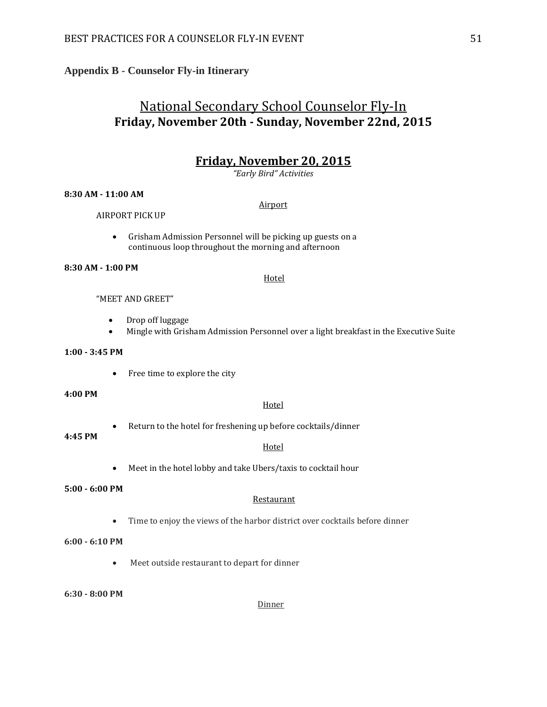# **Appendix B - Counselor Fly-in Itinerary**

# National Secondary School Counselor Fly-In **Friday, November 20th - Sunday, November 22nd, 2015**

# **Friday, November 20, 2015**

*"Early Bird" Activities* 

Airport

#### **8:30 AM - 11:00 AM**

#### AIRPORT PICK UP

 Grisham Admission Personnel will be picking up guests on a continuous loop throughout the morning and afternoon

#### **8:30 AM - 1:00 PM**

#### Hotel

# "MEET AND GREET"

- Drop off luggage
- Mingle with Grisham Admission Personnel over a light breakfast in the Executive Suite

#### **1:00 - 3:45 PM**

• Free time to explore the city

#### **4:00 PM**

#### Hotel

**Hotel** 

Return to the hotel for freshening up before cocktails/dinner

# **4:45 PM**

Meet in the hotel lobby and take Ubers/taxis to cocktail hour

#### **5:00 - 6:00 PM**

#### Restaurant

Time to enjoy the views of the harbor district over cocktails before dinner

#### **6:00 - 6:10 PM**

Meet outside restaurant to depart for dinner

#### **6:30 - 8:00 PM**

**Dinner**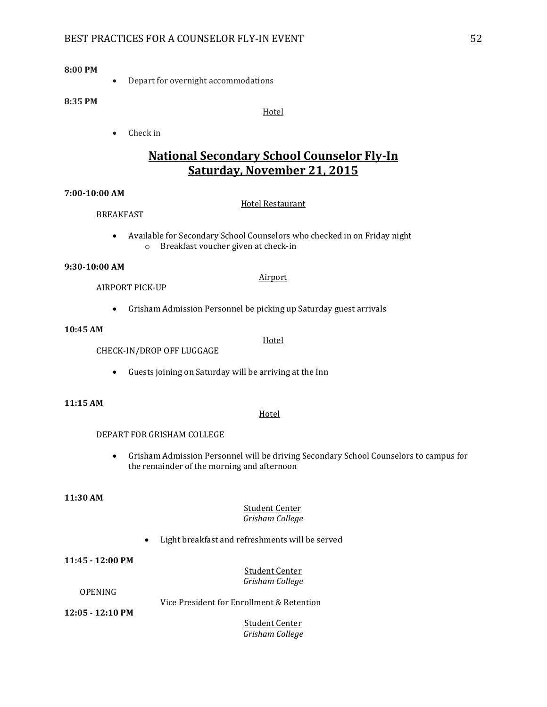## **8:00 PM**

• Depart for overnight accommodations

#### **8:35 PM**

Hotel

• Check in

# **National Secondary School Counselor Fly-In Saturday, November 21, 2015**

#### **7:00-10:00 AM**

#### Hotel Restaurant

Airport

**Hotel** 

- BREAKFAST
	- Available for Secondary School Counselors who checked in on Friday night o Breakfast voucher given at check-in

#### **9:30-10:00 AM**

#### AIRPORT PICK-UP

Grisham Admission Personnel be picking up Saturday guest arrivals

#### **10:45 AM**

CHECK-IN/DROP OFF LUGGAGE

Guests joining on Saturday will be arriving at the Inn

#### **11:15 AM**

#### Hotel

#### DEPART FOR GRISHAM COLLEGE

 Grisham Admission Personnel will be driving Secondary School Counselors to campus for the remainder of the morning and afternoon

#### **11:30 AM**

#### Student Center *Grisham College*

Light breakfast and refreshments will be served

**11:45 - 12:00 PM**

#### Student Center *Grisham College*

#### **OPENING**

Vice President for Enrollment & Retention

**12:05 - 12:10 PM**

Student Center *Grisham College*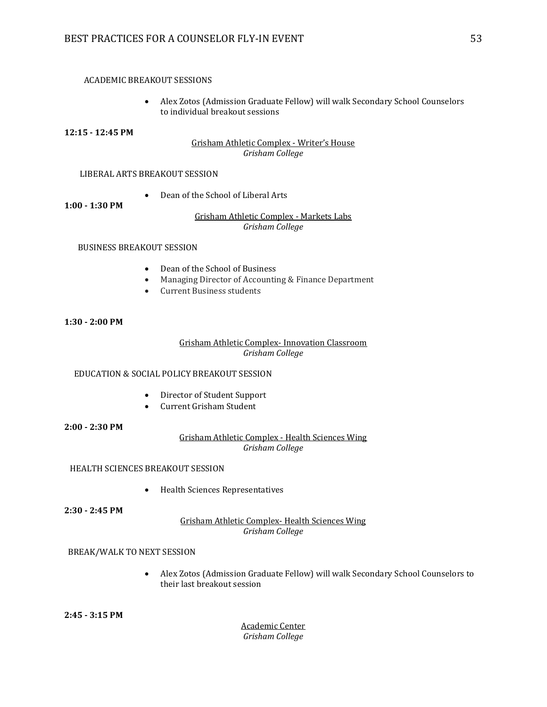#### ACADEMIC BREAKOUT SESSIONS

 Alex Zotos (Admission Graduate Fellow) will walk Secondary School Counselors to individual breakout sessions

#### **12:15 - 12:45 PM**

# Grisham Athletic Complex - Writer's House *Grisham College*

#### LIBERAL ARTS BREAKOUT SESSION

Dean of the School of Liberal Arts

**1:00 - 1:30 PM**

#### Grisham Athletic Complex - Markets Labs *Grisham College*

#### BUSINESS BREAKOUT SESSION

- Dean of the School of Business
- Managing Director of Accounting & Finance Department
- Current Business students

#### **1:30 - 2:00 PM**

#### Grisham Athletic Complex- Innovation Classroom *Grisham College*

# EDUCATION & SOCIAL POLICY BREAKOUT SESSION

- Director of Student Support
- Current Grisham Student

**2:00 - 2:30 PM**

# Grisham Athletic Complex - Health Sciences Wing *Grisham College*

HEALTH SCIENCES BREAKOUT SESSION

Health Sciences Representatives

**2:30 - 2:45 PM**

Grisham Athletic Complex- Health Sciences Wing *Grisham College*

#### BREAK/WALK TO NEXT SESSION

 Alex Zotos (Admission Graduate Fellow) will walk Secondary School Counselors to their last breakout session

Academic Center *Grisham College*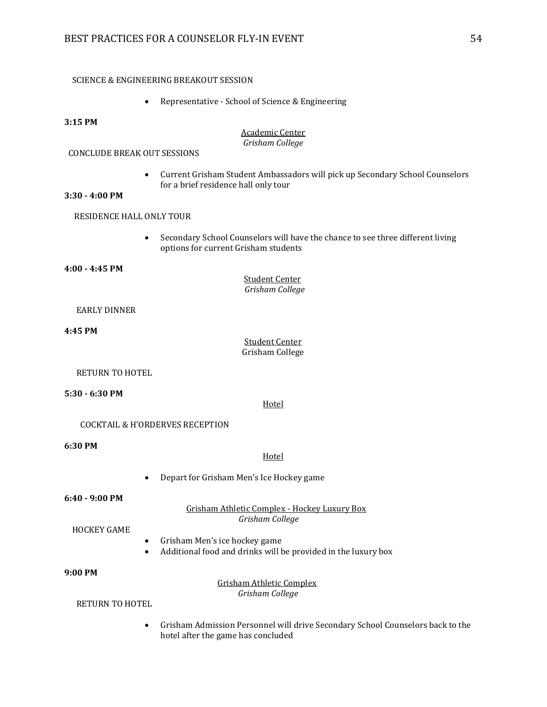#### SCIENCE & ENGINEERING BREAKOUT SESSION

Representative - School of Science & Engineering

#### **3:15 PM**

#### Academic Center *Grisham College*

#### CONCLUDE BREAK OUT SESSIONS

 Current Grisham Student Ambassadors will pick up Secondary School Counselors for a brief residence hall only tour

#### **3:30 - 4:00 PM**

#### RESIDENCE HALL ONLY TOUR

 Secondary School Counselors will have the chance to see three different living options for current Grisham students

#### **4:00 - 4:45 PM**

**Student Center**  *Grisham College*

#### EARLY DINNER

#### **4:45 PM**

Student Center Grisham College

#### RETURN TO HOTEL

#### **5:30 - 6:30 PM**

**Hotel** 

#### COCKTAIL & H'ORDERVES RECEPTION

**6:30 PM**

#### **Hotel**

Depart for Grisham Men's Ice Hockey game

#### **6:40 - 9:00 PM**

#### Grisham Athletic Complex - Hockey Luxury Box  *Grisham College*

#### HOCKEY GAME

- Grisham Men's ice hockey game
- Additional food and drinks will be provided in the luxury box

#### **9:00 PM**

 Grisham Athletic Complex  *Grisham College*

# RETURN TO HOTEL

 Grisham Admission Personnel will drive Secondary School Counselors back to the hotel after the game has concluded